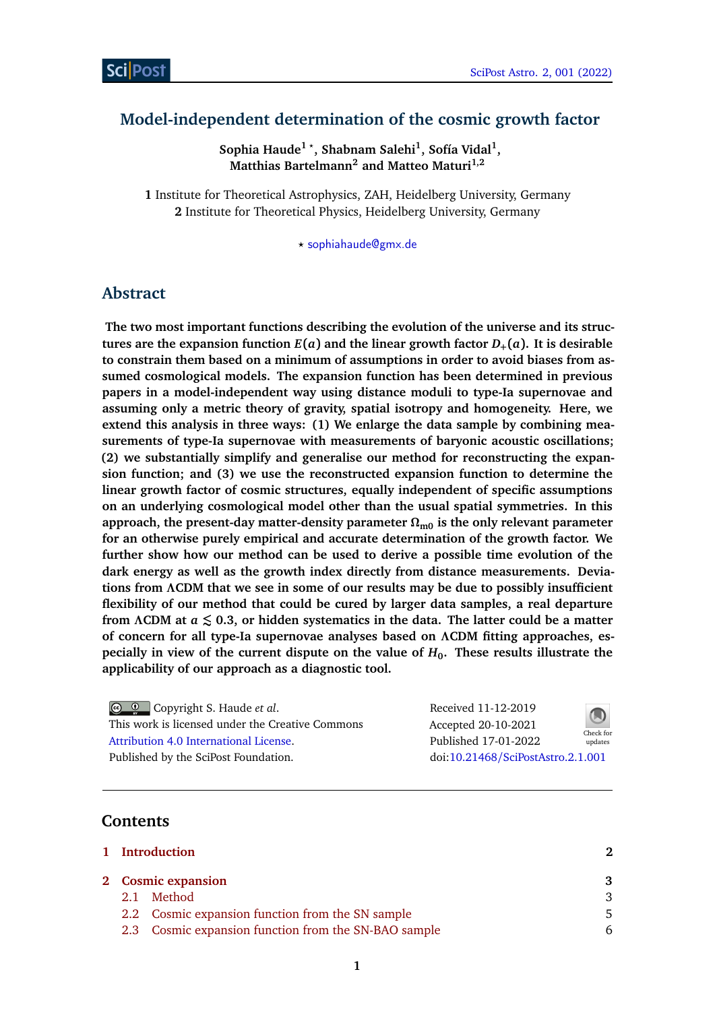# **Model-independent determination of the cosmic growth factor**

**Sophia Haude<sup>1</sup>** *?* **, Shabnam Salehi<sup>1</sup> , Sofía Vidal<sup>1</sup> , Matthias Bartelmann<sup>2</sup> and Matteo Maturi1,2**

**1** Institute for Theoretical Astrophysics, ZAH, Heidelberg University, Germany **2** Institute for Theoretical Physics, Heidelberg University, Germany

*?* [sophiahaude@gmx.de](mailto:sophiahaude@gmx.de)

## **Abstract**

**The two most important functions describing the evolution of the universe and its structures are the expansion function**  $E(a)$  and the linear growth factor  $D_+(a)$ . It is desirable **to constrain them based on a minimum of assumptions in order to avoid biases from assumed cosmological models. The expansion function has been determined in previous papers in a model-independent way using distance moduli to type-Ia supernovae and assuming only a metric theory of gravity, spatial isotropy and homogeneity. Here, we extend this analysis in three ways: (1) We enlarge the data sample by combining measurements of type-Ia supernovae with measurements of baryonic acoustic oscillations; (2) we substantially simplify and generalise our method for reconstructing the expansion function; and (3) we use the reconstructed expansion function to determine the linear growth factor of cosmic structures, equally independent of specific assumptions on an underlying cosmological model other than the usual spatial symmetries. In this approach, the present-day matter-density parameter** *Ω***m0 is the only relevant parameter for an otherwise purely empirical and accurate determination of the growth factor. We further show how our method can be used to derive a possible time evolution of the dark energy as well as the growth index directly from distance measurements. Deviations from** *Λ***CDM that we see in some of our results may be due to possibly insufficient flexibility of our method that could be cured by larger data samples, a real departure from** *Λ***CDM at** *a* **® 0.3, or hidden systematics in the data. The latter could be a matter of concern for all type-Ia supernovae analyses based on** *Λ***CDM fitting approaches, especially in view of the current dispute on the value of** *H***0. These results illustrate the applicability of our approach as a diagnostic tool.**

Copyright S. Haude *et al*. This work is licensed under the Creative Commons [Attribution 4.0 International License.](http://creativecommons.org/licenses/by/4.0/) Published by the SciPost Foundation.

Received 11-12-2019 Accepted 20-10-2021 Published 17-01-2022 Check for updates doi:10.21468/[SciPostAstro.2.1.001](https://doi.org/10.21468/SciPostAstro.2.1.001)



### **Contents**

|         | 1 Introduction                                       | 2  |
|---------|------------------------------------------------------|----|
|         | 2 Cosmic expansion                                   | 3  |
| $2.1 -$ | Method                                               | 3  |
|         | 2.2 Cosmic expansion function from the SN sample     | .5 |
|         | 2.3 Cosmic expansion function from the SN-BAO sample | 6  |
|         |                                                      |    |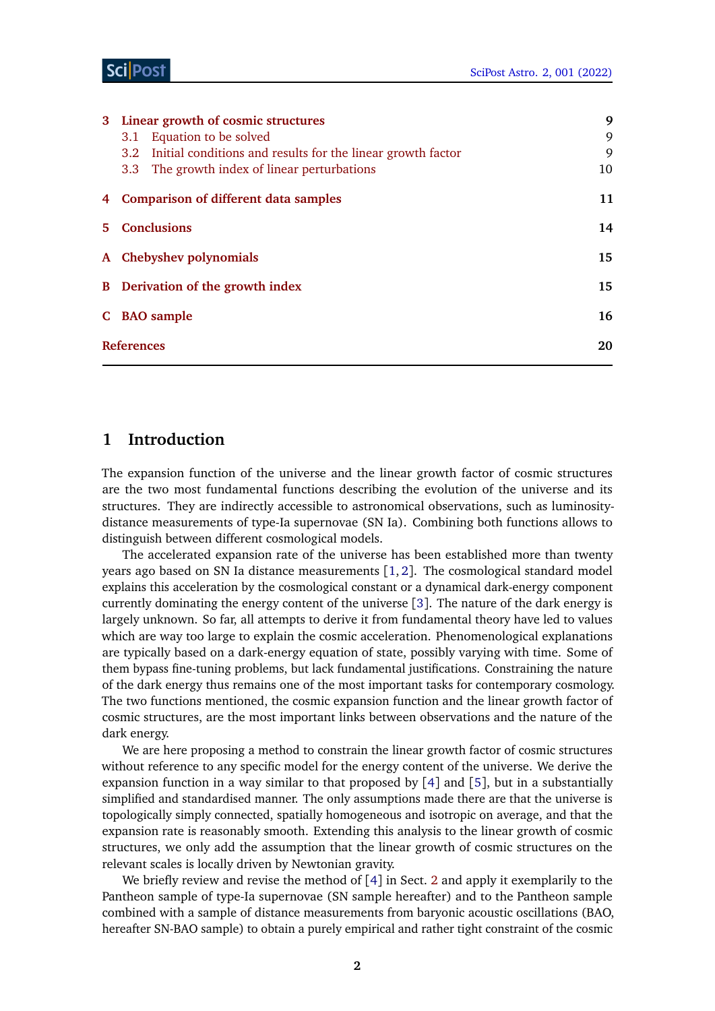|                                                  | 3 Linear growth of cosmic structures                                            | 9  |  |  |  |
|--------------------------------------------------|---------------------------------------------------------------------------------|----|--|--|--|
|                                                  | Equation to be solved<br>3.1                                                    | 9  |  |  |  |
|                                                  | Initial conditions and results for the linear growth factor<br>3.2 <sub>1</sub> | 9  |  |  |  |
|                                                  | The growth index of linear perturbations<br>3.3                                 | 10 |  |  |  |
| <b>Comparison of different data samples</b><br>4 |                                                                                 |    |  |  |  |
|                                                  | <b>Conclusions</b><br>$5 -$                                                     |    |  |  |  |
|                                                  | A Chebyshev polynomials                                                         |    |  |  |  |
|                                                  | <b>B</b> Derivation of the growth index                                         |    |  |  |  |
|                                                  | C BAO sample                                                                    | 16 |  |  |  |
|                                                  | <b>References</b>                                                               |    |  |  |  |
|                                                  |                                                                                 |    |  |  |  |

# <span id="page-1-0"></span>**1 Introduction**

The expansion function of the universe and the linear growth factor of cosmic structures are the two most fundamental functions describing the evolution of the universe and its structures. They are indirectly accessible to astronomical observations, such as luminositydistance measurements of type-Ia supernovae (SN Ia). Combining both functions allows to distinguish between different cosmological models.

The accelerated expansion rate of the universe has been established more than twenty years ago based on SN Ia distance measurements [[1,](#page-19-0) [2](#page-19-1)]. The cosmological standard model explains this acceleration by the cosmological constant or a dynamical dark-energy component currently dominating the energy content of the universe [[3](#page-19-2)]. The nature of the dark energy is largely unknown. So far, all attempts to derive it from fundamental theory have led to values which are way too large to explain the cosmic acceleration. Phenomenological explanations are typically based on a dark-energy equation of state, possibly varying with time. Some of them bypass fine-tuning problems, but lack fundamental justifications. Constraining the nature of the dark energy thus remains one of the most important tasks for contemporary cosmology. The two functions mentioned, the cosmic expansion function and the linear growth factor of cosmic structures, are the most important links between observations and the nature of the dark energy.

We are here proposing a method to constrain the linear growth factor of cosmic structures without reference to any specific model for the energy content of the universe. We derive the expansion function in a way similar to that proposed by [[4](#page-19-3)] and [[5](#page-19-4)], but in a substantially simplified and standardised manner. The only assumptions made there are that the universe is topologically simply connected, spatially homogeneous and isotropic on average, and that the expansion rate is reasonably smooth. Extending this analysis to the linear growth of cosmic structures, we only add the assumption that the linear growth of cosmic structures on the relevant scales is locally driven by Newtonian gravity.

We briefly review and revise the method of  $[4]$  $[4]$  $[4]$  in Sect. [2](#page-2-0) and apply it exemplarily to the Pantheon sample of type-Ia supernovae (SN sample hereafter) and to the Pantheon sample combined with a sample of distance measurements from baryonic acoustic oscillations (BAO, hereafter SN-BAO sample) to obtain a purely empirical and rather tight constraint of the cosmic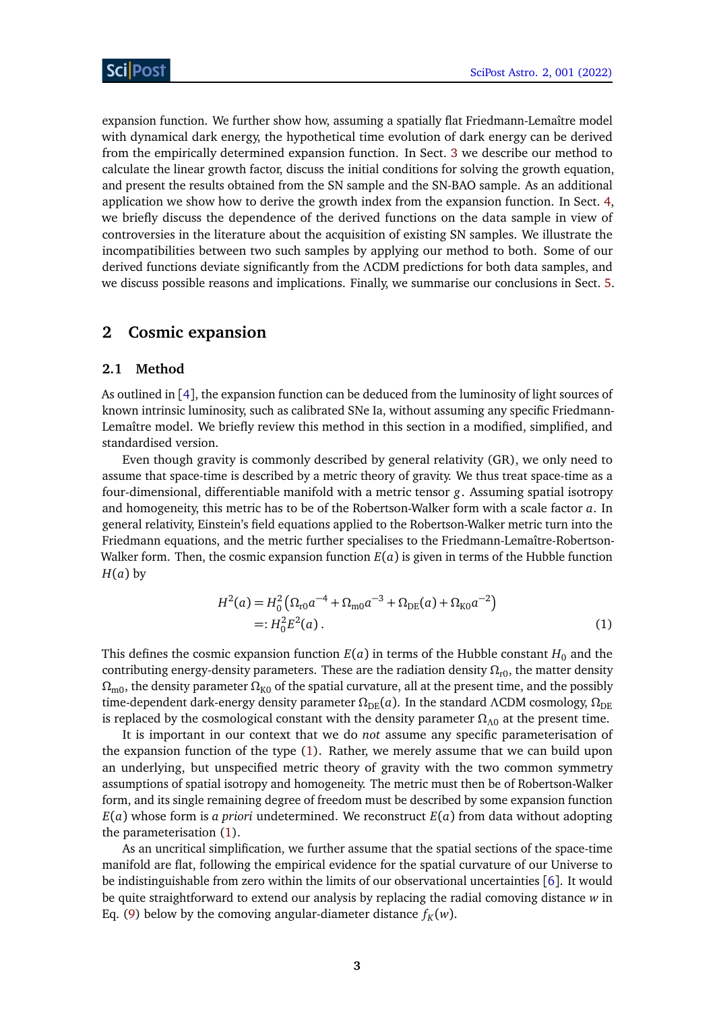expansion function. We further show how, assuming a spatially flat Friedmann-Lemaître model with dynamical dark energy, the hypothetical time evolution of dark energy can be derived from the empirically determined expansion function. In Sect. [3](#page-8-0) we describe our method to calculate the linear growth factor, discuss the initial conditions for solving the growth equation, and present the results obtained from the SN sample and the SN-BAO sample. As an additional application we show how to derive the growth index from the expansion function. In Sect. [4,](#page-10-0) we briefly discuss the dependence of the derived functions on the data sample in view of controversies in the literature about the acquisition of existing SN samples. We illustrate the incompatibilities between two such samples by applying our method to both. Some of our derived functions deviate significantly from the *Λ*CDM predictions for both data samples, and we discuss possible reasons and implications. Finally, we summarise our conclusions in Sect. [5.](#page-13-0)

### <span id="page-2-0"></span>**2 Cosmic expansion**

#### <span id="page-2-1"></span>**2.1 Method**

As outlined in [[4](#page-19-3)], the expansion function can be deduced from the luminosity of light sources of known intrinsic luminosity, such as calibrated SNe Ia, without assuming any specific Friedmann-Lemaître model. We briefly review this method in this section in a modified, simplified, and standardised version.

Even though gravity is commonly described by general relativity (GR), we only need to assume that space-time is described by a metric theory of gravity. We thus treat space-time as a four-dimensional, differentiable manifold with a metric tensor *g*. Assuming spatial isotropy and homogeneity, this metric has to be of the Robertson-Walker form with a scale factor *a*. In general relativity, Einstein's field equations applied to the Robertson-Walker metric turn into the Friedmann equations, and the metric further specialises to the Friedmann-Lemaître-Robertson-Walker form. Then, the cosmic expansion function  $E(a)$  is given in terms of the Hubble function  $H(a)$  by

<span id="page-2-2"></span>
$$
H^{2}(a) = H_{0}^{2} \left( \Omega_{\text{r0}} a^{-4} + \Omega_{\text{m0}} a^{-3} + \Omega_{\text{DE}}(a) + \Omega_{\text{K0}} a^{-2} \right)
$$
  
=:  $H_{0}^{2} E^{2}(a)$ . (1)

This defines the cosmic expansion function  $E(a)$  in terms of the Hubble constant  $H_0$  and the contributing energy-density parameters. These are the radiation density  $\Omega_{r0}$ , the matter density *Ω*<sub>m0</sub>, the density parameter  $Ω<sub>K0</sub>$  of the spatial curvature, all at the present time, and the possibly time-dependent dark-energy density parameter  $\Omega_{DE}(a)$ . In the standard *ΛCDM* cosmology,  $\Omega_{DE}$ is replaced by the cosmological constant with the density parameter  $\Omega_{\Lambda 0}$  at the present time.

It is important in our context that we do *not* assume any specific parameterisation of the expansion function of the type [\(1\)](#page-2-2). Rather, we merely assume that we can build upon an underlying, but unspecified metric theory of gravity with the two common symmetry assumptions of spatial isotropy and homogeneity. The metric must then be of Robertson-Walker form, and its single remaining degree of freedom must be described by some expansion function  $E(a)$  whose form is *a priori* undetermined. We reconstruct  $E(a)$  from data without adopting the parameterisation [\(1\)](#page-2-2).

As an uncritical simplification, we further assume that the spatial sections of the space-time manifold are flat, following the empirical evidence for the spatial curvature of our Universe to be indistinguishable from zero within the limits of our observational uncertainties [[6](#page-19-5)]. It would be quite straightforward to extend our analysis by replacing the radial comoving distance *w* in Eq. [\(9\)](#page-3-0) below by the comoving angular-diameter distance  $f_K(w)$ .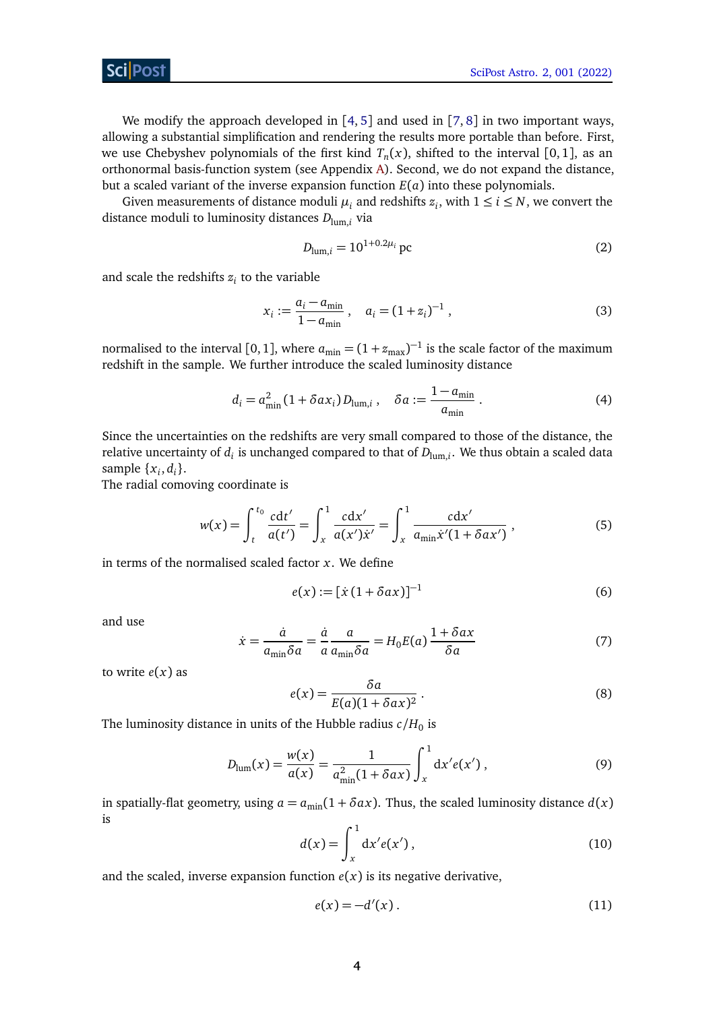We modify the approach developed in  $[4, 5]$  $[4, 5]$  $[4, 5]$  $[4, 5]$  $[4, 5]$  and used in  $[7, 8]$  $[7, 8]$  $[7, 8]$  $[7, 8]$  $[7, 8]$  in two important ways, allowing a substantial simplification and rendering the results more portable than before. First, we use Chebyshev polynomials of the first kind  $T_n(x)$ , shifted to the interval  $[0,1]$ , as an orthonormal basis-function system (see Appendix [A\)](#page-14-0). Second, we do not expand the distance, but a scaled variant of the inverse expansion function *E*(*a*) into these polynomials.

Given measurements of distance moduli  $\mu_i$  and redshifts  $z_i$ , with  $1 \le i \le N$ , we convert the distance moduli to luminosity distances *D*lum,*<sup>i</sup>* via

$$
D_{\text{lum},i} = 10^{1+0.2\mu_i} \,\text{pc} \tag{2}
$$

and scale the redshifts  $z_i$  to the variable

$$
x_i := \frac{a_i - a_{\min}}{1 - a_{\min}} , \quad a_i = (1 + z_i)^{-1} , \tag{3}
$$

normalised to the interval [0, 1], where  $a_{\min} = (1 + z_{\max})^{-1}$  is the scale factor of the maximum redshift in the sample. We further introduce the scaled luminosity distance

$$
d_i = a_{\min}^2 (1 + \delta a x_i) D_{\text{lum},i} , \quad \delta a := \frac{1 - a_{\min}}{a_{\min}} .
$$
 (4)

Since the uncertainties on the redshifts are very small compared to those of the distance, the relative uncertainty of  $d_i$  is unchanged compared to that of  $D_{\text{lum},i}.$  We thus obtain a scaled data sample  $\{x_i, d_i\}$ .

The radial comoving coordinate is

$$
w(x) = \int_{t}^{t_0} \frac{c dt'}{a(t')} = \int_{x}^{1} \frac{c dx'}{a(x') \dot{x}'} = \int_{x}^{1} \frac{c dx'}{a_{\min} \dot{x}'(1 + \delta a x')} ,
$$
 (5)

in terms of the normalised scaled factor *x*. We define

$$
e(x) := \left[x\left(1 + \delta a x\right)\right]^{-1} \tag{6}
$$

and use

<span id="page-3-1"></span>
$$
\dot{x} = \frac{\dot{a}}{a_{\min}\delta a} = \frac{\dot{a}}{a} \frac{a}{a_{\min}\delta a} = H_0 E(a) \frac{1 + \delta a x}{\delta a} \tag{7}
$$

to write  $e(x)$  as

<span id="page-3-0"></span>
$$
e(x) = \frac{\delta a}{E(a)(1 + \delta a x)^2}.
$$
 (8)

The luminosity distance in units of the Hubble radius  $c/H_0$  is

$$
D_{\text{lum}}(x) = \frac{w(x)}{a(x)} = \frac{1}{a_{\text{min}}^2 (1 + \delta a x)} \int_x^1 dx' e(x'), \qquad (9)
$$

in spatially-flat geometry, using  $a = a_{\min}(1 + \delta a x)$ . Thus, the scaled luminosity distance  $d(x)$ is

$$
d(x) = \int_{x}^{1} dx' e(x'),
$$
 (10)

and the scaled, inverse expansion function  $e(x)$  is its negative derivative,

$$
e(x) = -d'(x). \tag{11}
$$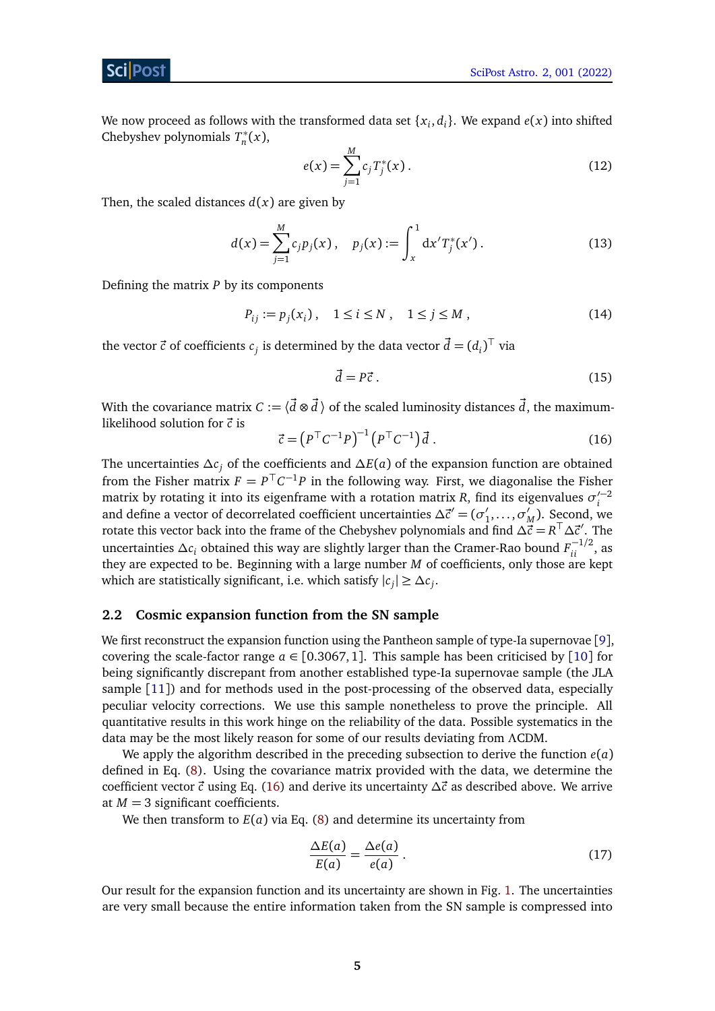We now proceed as follows with the transformed data set  $\{x_i, d_i\}$ . We expand  $e(x)$  into shifted Chebyshev polynomials  $T_n^*$ *n* (*x*),

$$
e(x) = \sum_{j=1}^{M} c_j T_j^*(x).
$$
 (12)

Then, the scaled distances  $d(x)$  are given by

$$
d(x) = \sum_{j=1}^{M} c_j p_j(x), \quad p_j(x) := \int_{x}^{1} dx' T_j^*(x'). \tag{13}
$$

Defining the matrix *P* by its components

$$
P_{ij} := p_j(x_i), \quad 1 \le i \le N \,, \quad 1 \le j \le M \,, \tag{14}
$$

the vector  $\vec{c}$  of coefficients  $c_j$  is determined by the data vector  $\vec{d} = (d_i)^{\top}$  via

$$
\vec{d} = P\vec{c} \tag{15}
$$

With the covariance matrix  $C := \langle \vec{d} \otimes \vec{d} \rangle$  of the scaled luminosity distances  $\vec{d}$ , the maximumlikelihood solution for  $\vec{c}$  is

<span id="page-4-1"></span>
$$
\vec{c} = \left(P^\top C^{-1} P\right)^{-1} \left(P^\top C^{-1}\right) \vec{d} \tag{16}
$$

The uncertainties *∆c<sup>j</sup>* of the coefficients and *∆E*(*a*) of the expansion function are obtained from the Fisher matrix  $F = P<sup>T</sup>C<sup>-1</sup>P$  in the following way. First, we diagonalise the Fisher matrix by rotating it into its eigenframe with a rotation matrix *R*, find its eigenvalues  $\sigma_i'^{-2}$ *i* and define a vector of decorrelated coefficient uncertainties  $\Delta \vec{c}^{\prime} = (\sigma_1^{\prime})$  $\sigma'_1, \ldots, \sigma'_l$  $\binom{M}{M}$ . Second, we rotate this vector back into the frame of the Chebyshev polynomials and find  $\Delta \vec{c} = R^{\top} \Delta \vec{c}'$ . The uncertainties  $\Delta c_i$  obtained this way are slightly larger than the Cramer-Rao bound  $F^{-1/2}_{ii}$ , as they are expected to be. Beginning with a large number *M* of coefficients, only those are kept which are statistically significant, i.e. which satisfy  $|c_j| \geq \Delta c_j$ .

#### <span id="page-4-0"></span>**2.2 Cosmic expansion function from the SN sample**

We first reconstruct the expansion function using the Pantheon sample of type-Ia supernovae [[9](#page-19-8)], covering the scale-factor range  $a \in [0.3067, 1]$ . This sample has been criticised by [[10](#page-19-9)] for being significantly discrepant from another established type-Ia supernovae sample (the JLA sample [[11](#page-19-10)]) and for methods used in the post-processing of the observed data, especially peculiar velocity corrections. We use this sample nonetheless to prove the principle. All quantitative results in this work hinge on the reliability of the data. Possible systematics in the data may be the most likely reason for some of our results deviating from *Λ*CDM.

We apply the algorithm described in the preceding subsection to derive the function  $e(a)$ defined in Eq. [\(8\)](#page-3-1). Using the covariance matrix provided with the data, we determine the coefficient vector  $\vec{c}$  using Eq. [\(16\)](#page-4-1) and derive its uncertainty  $\Delta \vec{c}$  as described above. We arrive at  $M = 3$  significant coefficients.

We then transform to  $E(a)$  via Eq. [\(8\)](#page-3-1) and determine its uncertainty from

$$
\frac{\Delta E(a)}{E(a)} = \frac{\Delta e(a)}{e(a)}\,. \tag{17}
$$

Our result for the expansion function and its uncertainty are shown in Fig. [1.](#page-5-1) The uncertainties are very small because the entire information taken from the SN sample is compressed into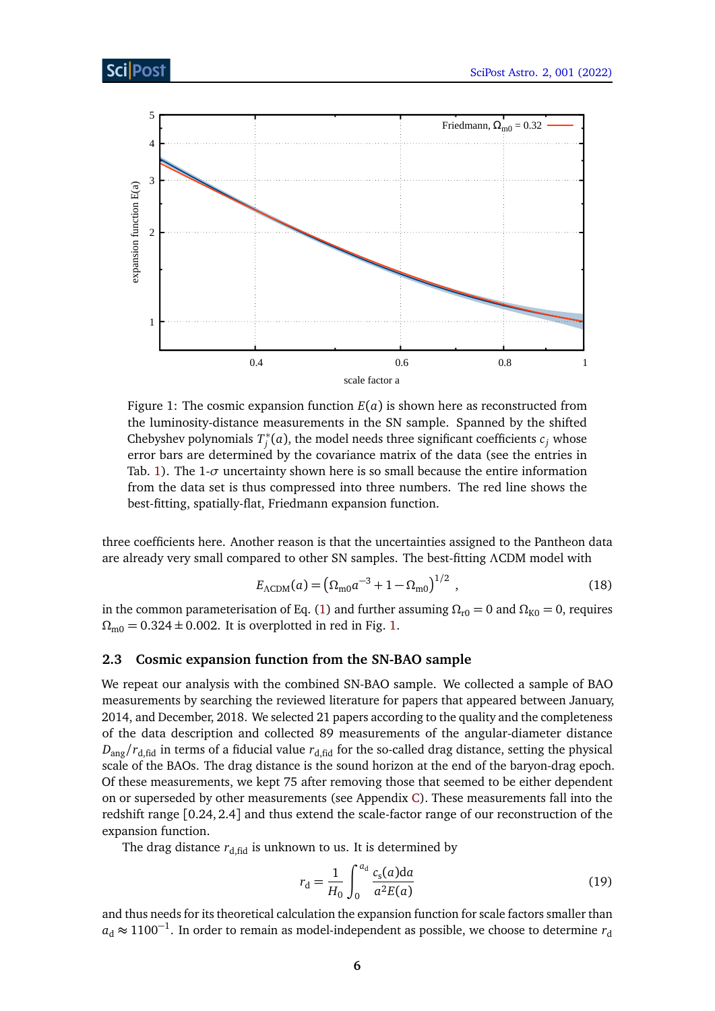<span id="page-5-1"></span>

Figure 1: The cosmic expansion function *E*(*a*) is shown here as reconstructed from the luminosity-distance measurements in the SN sample. Spanned by the shifted Chebyshev polynomials *T* ∗  $j^*(a)$ , the model needs three significant coefficients  $c_j$  whose error bars are determined by the covariance matrix of the data (see the entries in Tab. [1\)](#page-7-0). The  $1-\sigma$  uncertainty shown here is so small because the entire information from the data set is thus compressed into three numbers. The red line shows the best-fitting, spatially-flat, Friedmann expansion function.

three coefficients here. Another reason is that the uncertainties assigned to the Pantheon data are already very small compared to other SN samples. The best-fitting *Λ*CDM model with

$$
E_{\Lambda\text{CDM}}(a) = \left(\Omega_{\text{m0}}a^{-3} + 1 - \Omega_{\text{m0}}\right)^{1/2},\tag{18}
$$

in the common parameterisation of Eq. [\(1\)](#page-2-2) and further assuming  $\Omega_{r0} = 0$  and  $\Omega_{K0} = 0$ , requires  $\Omega_{\text{m0}} = 0.324 \pm 0.002$ . It is overplotted in red in Fig. [1.](#page-5-1)

### <span id="page-5-0"></span>**2.3 Cosmic expansion function from the SN-BAO sample**

We repeat our analysis with the combined SN-BAO sample. We collected a sample of BAO measurements by searching the reviewed literature for papers that appeared between January, 2014, and December, 2018. We selected 21 papers according to the quality and the completeness of the data description and collected 89 measurements of the angular-diameter distance  $D_{\text{ang}}/r_{\text{d fid}}$  in terms of a fiducial value  $r_{\text{d fid}}$  for the so-called drag distance, setting the physical scale of the BAOs. The drag distance is the sound horizon at the end of the baryon-drag epoch. Of these measurements, we kept 75 after removing those that seemed to be either dependent on or superseded by other measurements (see Appendix [C\)](#page-15-0). These measurements fall into the redshift range [0.24,2.4] and thus extend the scale-factor range of our reconstruction of the expansion function.

The drag distance  $r_{d, fid}$  is unknown to us. It is determined by

$$
r_{\rm d} = \frac{1}{H_0} \int_0^{a_{\rm d}} \frac{c_{\rm s}(a) \, \mathrm{d}a}{a^2 E(a)}\tag{19}
$$

and thus needs for its theoretical calculation the expansion function for scale factors smaller than  $a<sub>d</sub>$  ≈ 1100<sup>-1</sup>. In order to remain as model-independent as possible, we choose to determine  $r<sub>d</sub>$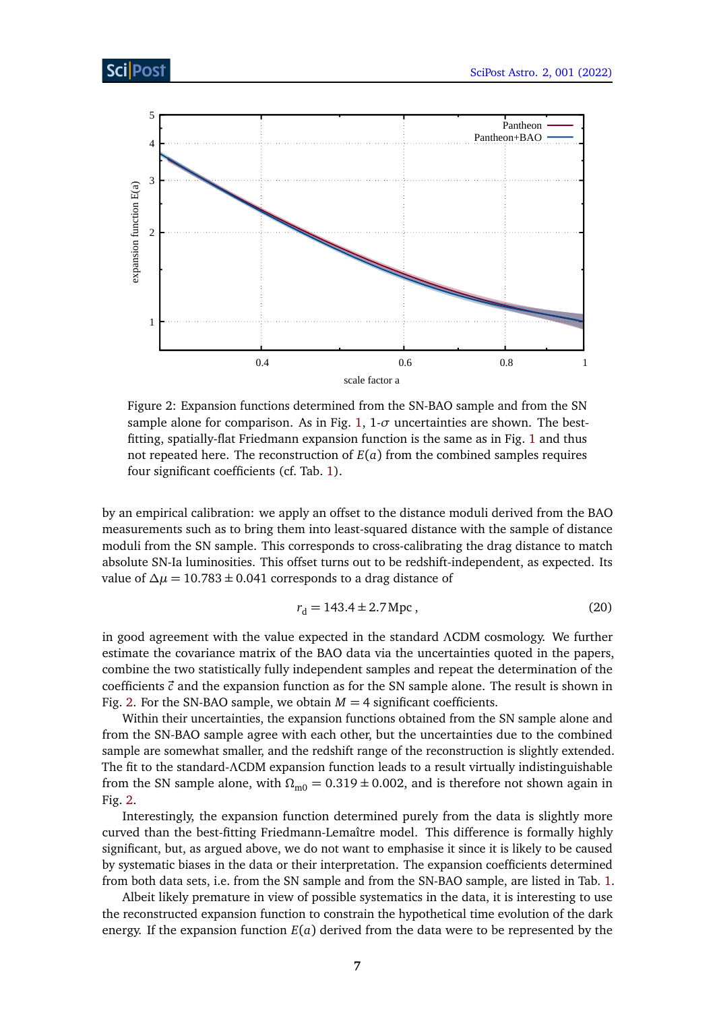<span id="page-6-0"></span>

Figure 2: Expansion functions determined from the SN-BAO sample and from the SN sample alone for comparison. As in Fig. [1,](#page-5-1) 1-*σ* uncertainties are shown. The bestfitting, spatially-flat Friedmann expansion function is the same as in Fig. [1](#page-5-1) and thus not repeated here. The reconstruction of  $E(a)$  from the combined samples requires four significant coefficients (cf. Tab. [1\)](#page-7-0).

by an empirical calibration: we apply an offset to the distance moduli derived from the BAO measurements such as to bring them into least-squared distance with the sample of distance moduli from the SN sample. This corresponds to cross-calibrating the drag distance to match absolute SN-Ia luminosities. This offset turns out to be redshift-independent, as expected. Its value of  $\Delta \mu$  = 10.783 ± 0.041 corresponds to a drag distance of

$$
r_{\rm d} = 143.4 \pm 2.7 \,\text{Mpc} \,,\tag{20}
$$

in good agreement with the value expected in the standard *Λ*CDM cosmology. We further estimate the covariance matrix of the BAO data via the uncertainties quoted in the papers, combine the two statistically fully independent samples and repeat the determination of the coefficients  $\vec{c}$  and the expansion function as for the SN sample alone. The result is shown in Fig. [2.](#page-6-0) For the SN-BAO sample, we obtain  $M = 4$  significant coefficients.

Within their uncertainties, the expansion functions obtained from the SN sample alone and from the SN-BAO sample agree with each other, but the uncertainties due to the combined sample are somewhat smaller, and the redshift range of the reconstruction is slightly extended. The fit to the standard-*Λ*CDM expansion function leads to a result virtually indistinguishable from the SN sample alone, with  $\Omega_{\text{m0}} = 0.319 \pm 0.002$ , and is therefore not shown again in Fig. [2.](#page-6-0)

Interestingly, the expansion function determined purely from the data is slightly more curved than the best-fitting Friedmann-Lemaître model. This difference is formally highly significant, but, as argued above, we do not want to emphasise it since it is likely to be caused by systematic biases in the data or their interpretation. The expansion coefficients determined from both data sets, i.e. from the SN sample and from the SN-BAO sample, are listed in Tab. [1.](#page-7-0)

Albeit likely premature in view of possible systematics in the data, it is interesting to use the reconstructed expansion function to constrain the hypothetical time evolution of the dark energy. If the expansion function *E*(*a*) derived from the data were to be represented by the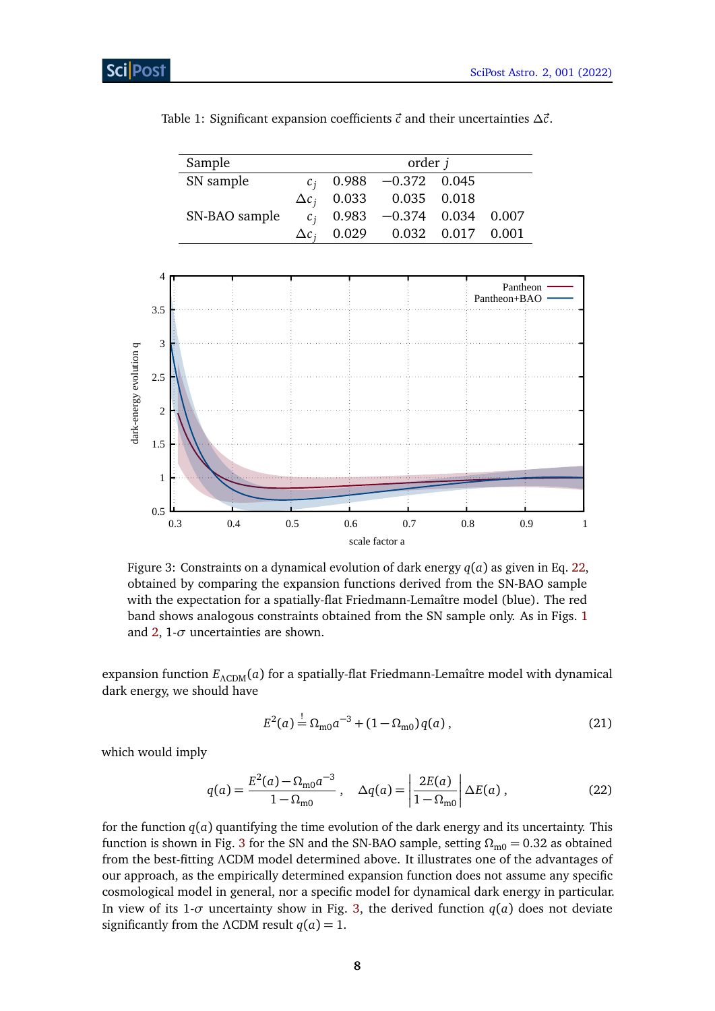| Sample<br>order <i>j</i> |                  |  |                                 |  |  |
|--------------------------|------------------|--|---------------------------------|--|--|
| SN sample                |                  |  | $0.988$ $-0.372$ 0.045          |  |  |
|                          | $\Delta c_i$     |  | 0.033  0.035  0.018             |  |  |
| SN-BAO sample            |                  |  | $c_i$ 0.983 -0.374 0.034 0.007  |  |  |
|                          | $\Delta c_{\rm}$ |  | $0.029$ $0.032$ $0.017$ $0.001$ |  |  |
|                          |                  |  |                                 |  |  |
|                          |                  |  |                                 |  |  |

<span id="page-7-0"></span>Table 1: Significant expansion coefficients  $\vec{c}$  and their uncertainties  $\Delta \vec{c}$ .

<span id="page-7-2"></span>

Figure 3: Constraints on a dynamical evolution of dark energy  $q(a)$  as given in Eq. [22,](#page-7-1) obtained by comparing the expansion functions derived from the SN-BAO sample with the expectation for a spatially-flat Friedmann-Lemaître model (blue). The red band shows analogous constraints obtained from the SN sample only. As in Figs. [1](#page-5-1) and  $2$ ,  $1$ - $\sigma$  uncertainties are shown.

expansion function  $E$ <sub>ΛCDM</sub>(*a*) for a spatially-flat Friedmann-Lemaître model with dynamical dark energy, we should have

$$
E^{2}(a) \stackrel{!}{=} \Omega_{\text{m0}} a^{-3} + (1 - \Omega_{\text{m0}}) q(a) , \qquad (21)
$$

which would imply

<span id="page-7-1"></span>
$$
q(a) = \frac{E^2(a) - \Omega_{\text{m0}} a^{-3}}{1 - \Omega_{\text{m0}}}, \quad \Delta q(a) = \left| \frac{2E(a)}{1 - \Omega_{\text{m0}}} \right| \Delta E(a), \tag{22}
$$

for the function  $q(a)$  quantifying the time evolution of the dark energy and its uncertainty. This function is shown in Fig. [3](#page-7-2) for the SN and the SN-BAO sample, setting  $\Omega_{\text{m0}} = 0.32$  as obtained from the best-fitting *Λ*CDM model determined above. It illustrates one of the advantages of our approach, as the empirically determined expansion function does not assume any specific cosmological model in general, nor a specific model for dynamical dark energy in particular. In view of its 1- $\sigma$  uncertainty show in Fig. [3,](#page-7-2) the derived function  $q(a)$  does not deviate significantly from the *ΛCDM* result  $q(a) = 1$ .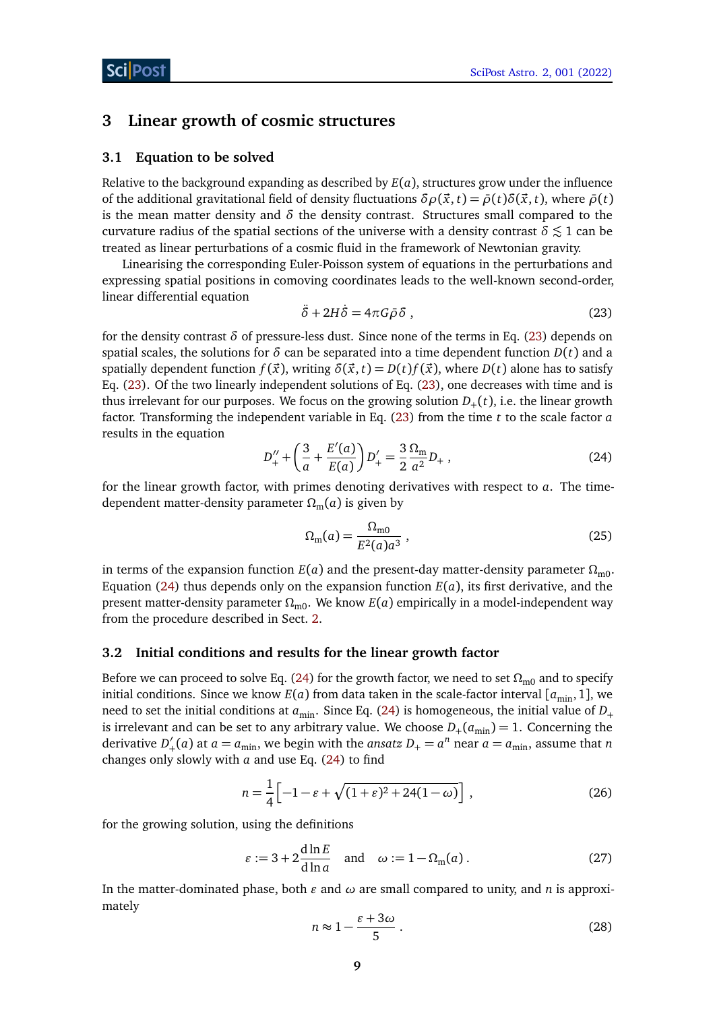### <span id="page-8-0"></span>**3 Linear growth of cosmic structures**

#### <span id="page-8-1"></span>**3.1 Equation to be solved**

Relative to the background expanding as described by *E*(*a*), structures grow under the influence of the additional gravitational field of density fluctuations  $\delta \rho(\vec{x}, t) = \bar{\rho}(t) \delta(\vec{x}, t)$ , where  $\bar{\rho}(t)$ is the mean matter density and  $\delta$  the density contrast. Structures small compared to the curvature radius of the spatial sections of the universe with a density contrast  $\delta \lesssim 1$  can be treated as linear perturbations of a cosmic fluid in the framework of Newtonian gravity.

Linearising the corresponding Euler-Poisson system of equations in the perturbations and expressing spatial positions in comoving coordinates leads to the well-known second-order, linear differential equation

<span id="page-8-3"></span>
$$
\ddot{\delta} + 2H\dot{\delta} = 4\pi G\bar{\rho}\delta \,, \tag{23}
$$

for the density contrast *δ* of pressure-less dust. Since none of the terms in Eq. [\(23\)](#page-8-3) depends on spatial scales, the solutions for  $\delta$  can be separated into a time dependent function  $D(t)$  and a spatially dependent function  $f(\vec{x})$ , writing  $\delta(\vec{x}, t) = D(t)f(\vec{x})$ , where  $D(t)$  alone has to satisfy Eq. [\(23\)](#page-8-3). Of the two linearly independent solutions of Eq. [\(23\)](#page-8-3), one decreases with time and is thus irrelevant for our purposes. We focus on the growing solution  $D_+(t)$ , i.e. the linear growth factor. Transforming the independent variable in Eq. [\(23\)](#page-8-3) from the time *t* to the scale factor *a* results in the equation

<span id="page-8-4"></span>
$$
D_{+}'' + \left(\frac{3}{a} + \frac{E'(a)}{E(a)}\right)D_{+}' = \frac{3}{2}\frac{\Omega_{\text{m}}}{a^2}D_{+} ,
$$
 (24)

for the linear growth factor, with primes denoting derivatives with respect to *a*. The timedependent matter-density parameter  $\Omega_{\rm m}(a)$  is given by

<span id="page-8-5"></span>
$$
\Omega_{\rm m}(a) = \frac{\Omega_{\rm m0}}{E^2(a)a^3} \,,\tag{25}
$$

in terms of the expansion function  $E(a)$  and the present-day matter-density parameter  $\Omega_{\text{m0}}$ . Equation [\(24\)](#page-8-4) thus depends only on the expansion function  $E(a)$ , its first derivative, and the present matter-density parameter  $Ω<sub>m0</sub>$ . We know  $E(a)$  empirically in a model-independent way from the procedure described in Sect. [2.](#page-2-0)

#### <span id="page-8-2"></span>**3.2 Initial conditions and results for the linear growth factor**

Before we can proceed to solve Eq. [\(24\)](#page-8-4) for the growth factor, we need to set  $\Omega_{\text{m0}}$  and to specify initial conditions. Since we know  $E(a)$  from data taken in the scale-factor interval  $[a_{\min}, 1]$ , we need to set the initial conditions at  $a_{\text{min}}$ . Since Eq. [\(24\)](#page-8-4) is homogeneous, the initial value of  $D_+$ is irrelevant and can be set to any arbitrary value. We choose  $D_{+}(a_{\min}) = 1$ . Concerning the derivative *D'*  $a'_{+}(a)$  at  $a = a_{\text{min}}$ , we begin with the *ansatz*  $D_{+} = a^{n}$  near  $a = a_{\text{min}}$ , assume that *n* changes only slowly with *a* and use Eq. [\(24\)](#page-8-4) to find

$$
n = \frac{1}{4} \left[ -1 - \varepsilon + \sqrt{(1 + \varepsilon)^2 + 24(1 - \omega)} \right],
$$
 (26)

for the growing solution, using the definitions

$$
\varepsilon := 3 + 2 \frac{d \ln E}{d \ln a} \quad \text{and} \quad \omega := 1 - \Omega_{m}(a) \,. \tag{27}
$$

In the matter-dominated phase, both  $\varepsilon$  and  $\omega$  are small compared to unity, and *n* is approximately

<span id="page-8-6"></span>
$$
n \approx 1 - \frac{\varepsilon + 3\omega}{5} \,. \tag{28}
$$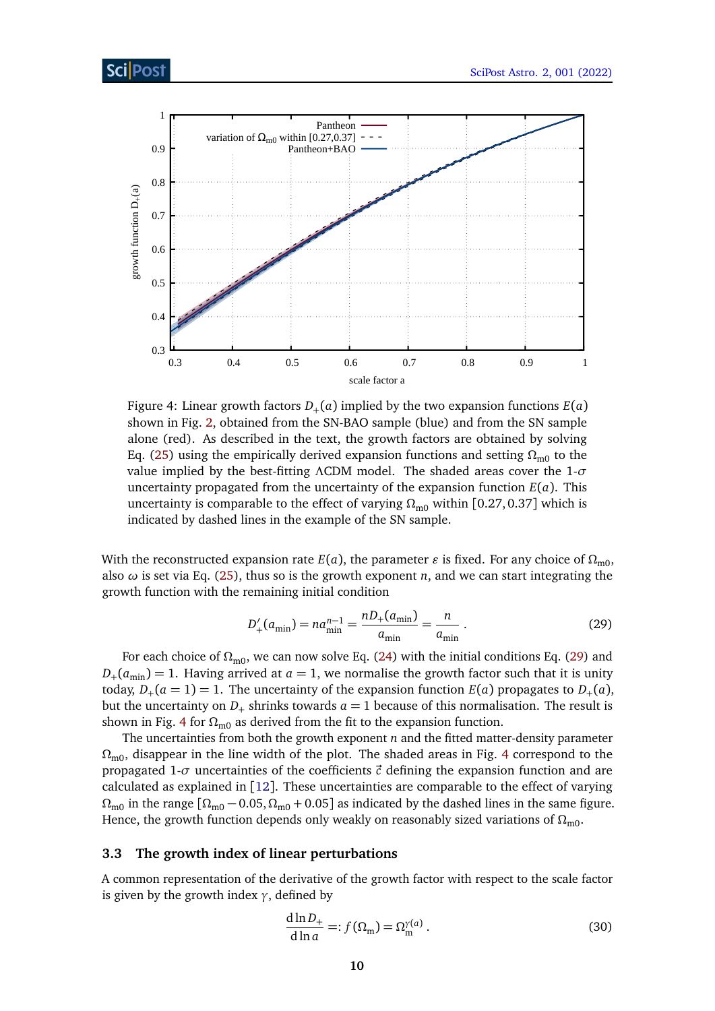<span id="page-9-2"></span>

Figure 4: Linear growth factors  $D_+(a)$  implied by the two expansion functions  $E(a)$ shown in Fig. [2,](#page-6-0) obtained from the SN-BAO sample (blue) and from the SN sample alone (red). As described in the text, the growth factors are obtained by solving Eq. [\(25\)](#page-8-5) using the empirically derived expansion functions and setting  $\Omega_{\text{m0}}$  to the value implied by the best-fitting *Λ*CDM model. The shaded areas cover the 1-*σ* uncertainty propagated from the uncertainty of the expansion function  $E(a)$ . This uncertainty is comparable to the effect of varying  $\Omega_{\text{m0}}$  within [0.27,0.37] which is indicated by dashed lines in the example of the SN sample.

With the reconstructed expansion rate  $E(a)$ , the parameter  $\varepsilon$  is fixed. For any choice of  $\Omega_{m0}$ , also  $\omega$  is set via Eq. [\(25\)](#page-8-5), thus so is the growth exponent *n*, and we can start integrating the growth function with the remaining initial condition

<span id="page-9-1"></span>
$$
D'_{+}(a_{\min}) = na_{\min}^{n-1} = \frac{nD_{+}(a_{\min})}{a_{\min}} = \frac{n}{a_{\min}}.
$$
 (29)

For each choice of *Ω*m0, we can now solve Eq. [\(24\)](#page-8-4) with the initial conditions Eq. [\(29\)](#page-9-1) and  $D_{+}(a_{\min}) = 1$ . Having arrived at  $a = 1$ , we normalise the growth factor such that it is unity today,  $D_+(a=1)=1$ . The uncertainty of the expansion function  $E(a)$  propagates to  $D_+(a)$ , but the uncertainty on  $D_+$  shrinks towards  $a = 1$  because of this normalisation. The result is shown in Fig. [4](#page-9-2) for  $\Omega_{\text{m0}}$  as derived from the fit to the expansion function.

The uncertainties from both the growth exponent *n* and the fitted matter-density parameter *Ω*m0, disappear in the line width of the plot. The shaded areas in Fig. [4](#page-9-2) correspond to the propagated 1- $\sigma$  uncertainties of the coefficients  $\vec{c}$  defining the expansion function and are calculated as explained in [[12](#page-19-11)]. These uncertainties are comparable to the effect of varying  $\Omega_{\text{m0}}$  in the range  $[\Omega_{\text{m0}} - 0.05, \Omega_{\text{m0}} + 0.05]$  as indicated by the dashed lines in the same figure. Hence, the growth function depends only weakly on reasonably sized variations of  $\Omega_{\text{m0}}$ .

#### <span id="page-9-0"></span>**3.3 The growth index of linear perturbations**

A common representation of the derivative of the growth factor with respect to the scale factor is given by the growth index  $\gamma$ , defined by

<span id="page-9-3"></span>
$$
\frac{d\ln D_+}{d\ln a} =: f(\Omega_m) = \Omega_m^{\gamma(a)}.
$$
\n(30)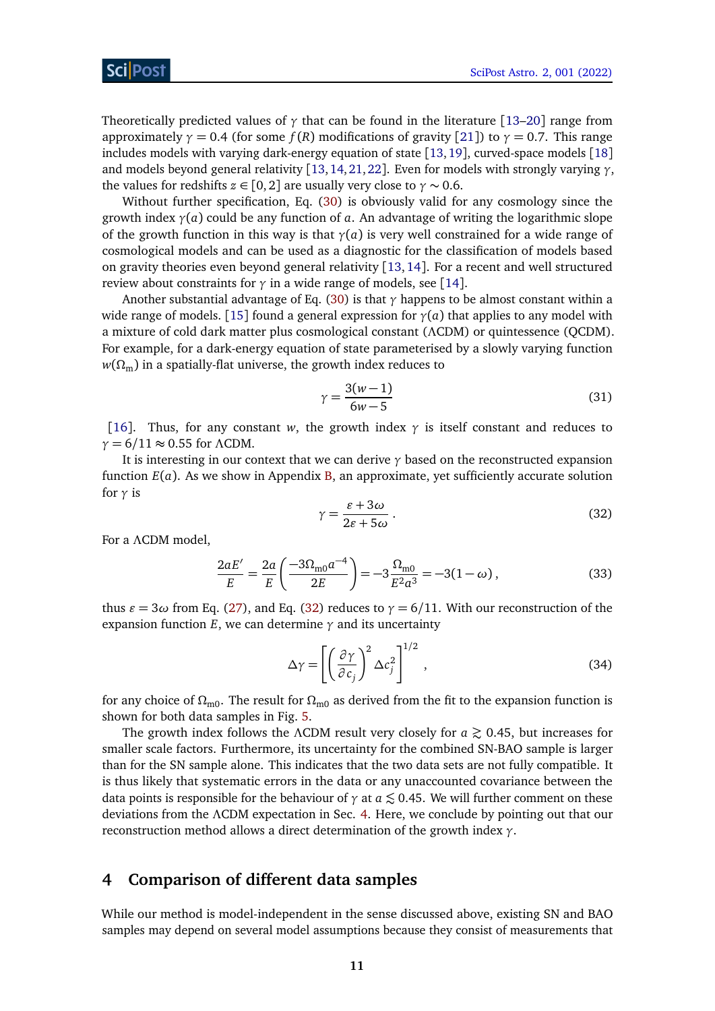Theoretically predicted values of  $\gamma$  that can be found in the literature [[13](#page-19-12)[–20](#page-20-0)] range from approximately  $\gamma = 0.4$  (for some  $f(R)$  modifications of gravity [[21](#page-20-1)]) to  $\gamma = 0.7$ . This range includes models with varying dark-energy equation of state [[13,](#page-19-12)[19](#page-20-2)], curved-space models [[18](#page-20-3)] and models beyond general relativity [[13,](#page-19-12)[14,](#page-19-13)[21,](#page-20-1)[22](#page-20-4)]. Even for models with strongly varying *γ*, the values for redshifts  $z \in [0,2]$  are usually very close to  $\gamma \sim 0.6$ .

Without further specification, Eq. [\(30\)](#page-9-3) is obviously valid for any cosmology since the growth index *γ*(*a*) could be any function of *a*. An advantage of writing the logarithmic slope of the growth function in this way is that *γ*(*a*) is very well constrained for a wide range of cosmological models and can be used as a diagnostic for the classification of models based on gravity theories even beyond general relativity [[13,](#page-19-12)[14](#page-19-13)]. For a recent and well structured review about constraints for  $\gamma$  in a wide range of models, see [[14](#page-19-13)].

Another substantial advantage of Eq. [\(30\)](#page-9-3) is that *γ* happens to be almost constant within a wide range of models. [[15](#page-19-14)] found a general expression for  $\gamma(a)$  that applies to any model with a mixture of cold dark matter plus cosmological constant (*Λ*CDM) or quintessence (QCDM). For example, for a dark-energy equation of state parameterised by a slowly varying function  $w(\Omega_{\rm m})$  in a spatially-flat universe, the growth index reduces to

$$
\gamma = \frac{3(w-1)}{6w-5} \tag{31}
$$

[[16](#page-19-15)]. Thus, for any constant *w*, the growth index  $\gamma$  is itself constant and reduces to *γ* = 6*/*11 ≈ 0.55 for *Λ*CDM.

<span id="page-10-1"></span>It is interesting in our context that we can derive *γ* based on the reconstructed expansion function *E*(*a*). As we show in Appendix [B,](#page-14-1) an approximate, yet sufficiently accurate solution for *γ* is

$$
\gamma = \frac{\varepsilon + 3\omega}{2\varepsilon + 5\omega} \,. \tag{32}
$$

For a *Λ*CDM model,

$$
\frac{2aE'}{E} = \frac{2a}{E} \left( \frac{-3\Omega_{\text{m0}}a^{-4}}{2E} \right) = -3\frac{\Omega_{\text{m0}}}{E^2 a^3} = -3(1 - \omega),\tag{33}
$$

thus  $\varepsilon = 3\omega$  from Eq. [\(27\)](#page-8-6), and Eq. [\(32\)](#page-10-1) reduces to  $\gamma = 6/11$ . With our reconstruction of the expansion function  $E$ , we can determine  $\gamma$  and its uncertainty

$$
\Delta \gamma = \left[ \left( \frac{\partial \gamma}{\partial c_j} \right)^2 \Delta c_j^2 \right]^{1/2},\tag{34}
$$

for any choice of  $\Omega_{\text{m0}}$ . The result for  $\Omega_{\text{m0}}$  as derived from the fit to the expansion function is shown for both data samples in Fig. [5.](#page-11-0)

The growth index follows the *ΛCDM* result very closely for  $a \gtrsim 0.45$ , but increases for smaller scale factors. Furthermore, its uncertainty for the combined SN-BAO sample is larger than for the SN sample alone. This indicates that the two data sets are not fully compatible. It is thus likely that systematic errors in the data or any unaccounted covariance between the data points is responsible for the behaviour of  $\gamma$  at  $a \lesssim 0.45$ . We will further comment on these deviations from the *Λ*CDM expectation in Sec. [4.](#page-10-0) Here, we conclude by pointing out that our reconstruction method allows a direct determination of the growth index *γ*.

### <span id="page-10-0"></span>**4 Comparison of different data samples**

While our method is model-independent in the sense discussed above, existing SN and BAO samples may depend on several model assumptions because they consist of measurements that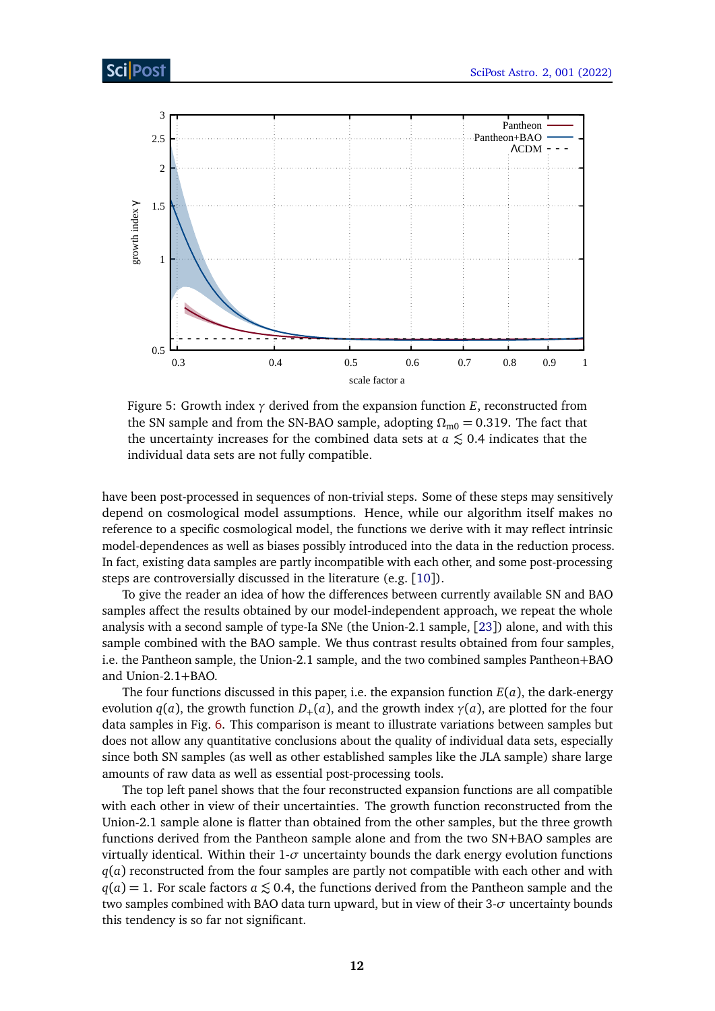<span id="page-11-0"></span>

Figure 5: Growth index  $\gamma$  derived from the expansion function *E*, reconstructed from the SN sample and from the SN-BAO sample, adopting  $\Omega_{\text{m0}} = 0.319$ . The fact that the uncertainty increases for the combined data sets at  $a \lesssim 0.4$  indicates that the individual data sets are not fully compatible.

have been post-processed in sequences of non-trivial steps. Some of these steps may sensitively depend on cosmological model assumptions. Hence, while our algorithm itself makes no reference to a specific cosmological model, the functions we derive with it may reflect intrinsic model-dependences as well as biases possibly introduced into the data in the reduction process. In fact, existing data samples are partly incompatible with each other, and some post-processing steps are controversially discussed in the literature (e.g. [[10](#page-19-9)]).

To give the reader an idea of how the differences between currently available SN and BAO samples affect the results obtained by our model-independent approach, we repeat the whole analysis with a second sample of type-Ia SNe (the Union-2.1 sample, [[23](#page-20-5)]) alone, and with this sample combined with the BAO sample. We thus contrast results obtained from four samples, i.e. the Pantheon sample, the Union-2.1 sample, and the two combined samples Pantheon+BAO and Union-2.1+BAO.

The four functions discussed in this paper, i.e. the expansion function *E*(*a*), the dark-energy evolution  $q(a)$ , the growth function  $D_+(a)$ , and the growth index  $\gamma(a)$ , are plotted for the four data samples in Fig. [6.](#page-12-0) This comparison is meant to illustrate variations between samples but does not allow any quantitative conclusions about the quality of individual data sets, especially since both SN samples (as well as other established samples like the JLA sample) share large amounts of raw data as well as essential post-processing tools.

The top left panel shows that the four reconstructed expansion functions are all compatible with each other in view of their uncertainties. The growth function reconstructed from the Union-2.1 sample alone is flatter than obtained from the other samples, but the three growth functions derived from the Pantheon sample alone and from the two SN+BAO samples are virtually identical. Within their  $1-\sigma$  uncertainty bounds the dark energy evolution functions *q*(*a*) reconstructed from the four samples are partly not compatible with each other and with  $q(a) = 1$ . For scale factors  $a \le 0.4$ , the functions derived from the Pantheon sample and the two samples combined with BAO data turn upward, but in view of their 3-*σ* uncertainty bounds this tendency is so far not significant.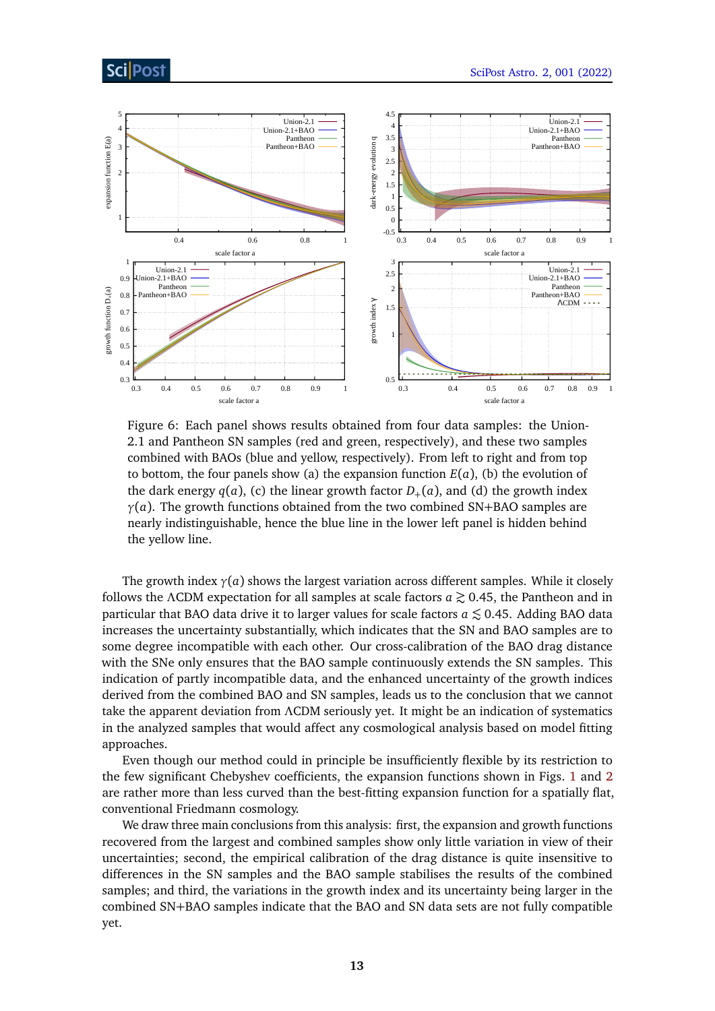# ScilPos<sup>.</sup>

<span id="page-12-0"></span>

Figure 6: Each panel shows results obtained from four data samples: the Union-2.1 and Pantheon SN samples (red and green, respectively), and these two samples combined with BAOs (blue and yellow, respectively). From left to right and from top to bottom, the four panels show (a) the expansion function  $E(a)$ , (b) the evolution of the dark energy  $q(a)$ , (c) the linear growth factor  $D_+(a)$ , and (d) the growth index *γ*(*a*). The growth functions obtained from the two combined SN+BAO samples are nearly indistinguishable, hence the blue line in the lower left panel is hidden behind the yellow line.

The growth index  $\gamma(a)$  shows the largest variation across different samples. While it closely follows the *ΛCDM* expectation for all samples at scale factors *a*  $\gtrsim$  0.45, the Pantheon and in particular that BAO data drive it to larger values for scale factors  $a \lesssim 0.45$ . Adding BAO data increases the uncertainty substantially, which indicates that the SN and BAO samples are to some degree incompatible with each other. Our cross-calibration of the BAO drag distance with the SNe only ensures that the BAO sample continuously extends the SN samples. This indication of partly incompatible data, and the enhanced uncertainty of the growth indices derived from the combined BAO and SN samples, leads us to the conclusion that we cannot take the apparent deviation from *Λ*CDM seriously yet. It might be an indication of systematics in the analyzed samples that would affect any cosmological analysis based on model fitting approaches.

Even though our method could in principle be insufficiently flexible by its restriction to the few significant Chebyshev coefficients, the expansion functions shown in Figs. [1](#page-5-1) and [2](#page-6-0) are rather more than less curved than the best-fitting expansion function for a spatially flat, conventional Friedmann cosmology.

We draw three main conclusions from this analysis: first, the expansion and growth functions recovered from the largest and combined samples show only little variation in view of their uncertainties; second, the empirical calibration of the drag distance is quite insensitive to differences in the SN samples and the BAO sample stabilises the results of the combined samples; and third, the variations in the growth index and its uncertainty being larger in the combined SN+BAO samples indicate that the BAO and SN data sets are not fully compatible yet.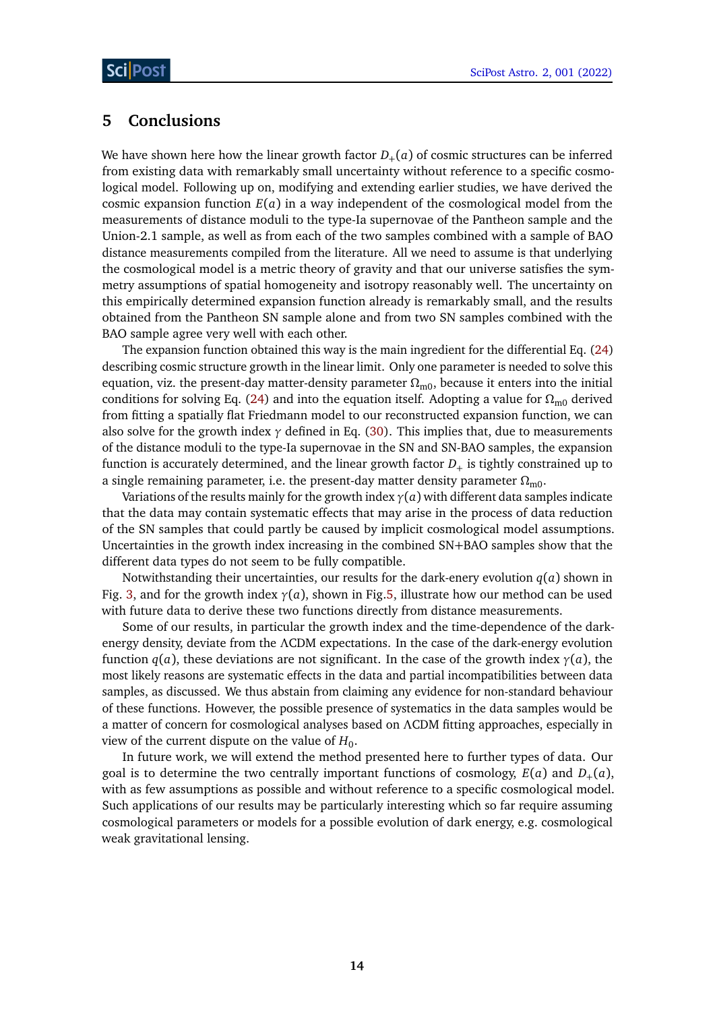### <span id="page-13-0"></span>**5 Conclusions**

We have shown here how the linear growth factor  $D_{+}(a)$  of cosmic structures can be inferred from existing data with remarkably small uncertainty without reference to a specific cosmological model. Following up on, modifying and extending earlier studies, we have derived the cosmic expansion function *E*(*a*) in a way independent of the cosmological model from the measurements of distance moduli to the type-Ia supernovae of the Pantheon sample and the Union-2.1 sample, as well as from each of the two samples combined with a sample of BAO distance measurements compiled from the literature. All we need to assume is that underlying the cosmological model is a metric theory of gravity and that our universe satisfies the symmetry assumptions of spatial homogeneity and isotropy reasonably well. The uncertainty on this empirically determined expansion function already is remarkably small, and the results obtained from the Pantheon SN sample alone and from two SN samples combined with the BAO sample agree very well with each other.

The expansion function obtained this way is the main ingredient for the differential Eq. [\(24\)](#page-8-4) describing cosmic structure growth in the linear limit. Only one parameter is needed to solve this equation, viz. the present-day matter-density parameter  $Ω<sub>m0</sub>$ , because it enters into the initial conditions for solving Eq. [\(24\)](#page-8-4) and into the equation itself. Adopting a value for  $\Omega_{\text{m0}}$  derived from fitting a spatially flat Friedmann model to our reconstructed expansion function, we can also solve for the growth index *γ* defined in Eq. [\(30\)](#page-9-3). This implies that, due to measurements of the distance moduli to the type-Ia supernovae in the SN and SN-BAO samples, the expansion function is accurately determined, and the linear growth factor  $D_{+}$  is tightly constrained up to a single remaining parameter, i.e. the present-day matter density parameter  $\Omega_{\text{m0}}$ .

Variations of the results mainly for the growth index *γ*(*a*) with different data samples indicate that the data may contain systematic effects that may arise in the process of data reduction of the SN samples that could partly be caused by implicit cosmological model assumptions. Uncertainties in the growth index increasing in the combined SN+BAO samples show that the different data types do not seem to be fully compatible.

Notwithstanding their uncertainties, our results for the dark-enery evolution  $q(a)$  shown in Fig. [3,](#page-7-2) and for the growth index *γ*(*a*), shown in Fig[.5,](#page-11-0) illustrate how our method can be used with future data to derive these two functions directly from distance measurements.

Some of our results, in particular the growth index and the time-dependence of the darkenergy density, deviate from the *Λ*CDM expectations. In the case of the dark-energy evolution function  $q(a)$ , these deviations are not significant. In the case of the growth index  $\gamma(a)$ , the most likely reasons are systematic effects in the data and partial incompatibilities between data samples, as discussed. We thus abstain from claiming any evidence for non-standard behaviour of these functions. However, the possible presence of systematics in the data samples would be a matter of concern for cosmological analyses based on *Λ*CDM fitting approaches, especially in view of the current dispute on the value of  $H_0$ .

In future work, we will extend the method presented here to further types of data. Our goal is to determine the two centrally important functions of cosmology,  $E(a)$  and  $D_+(a)$ , with as few assumptions as possible and without reference to a specific cosmological model. Such applications of our results may be particularly interesting which so far require assuming cosmological parameters or models for a possible evolution of dark energy, e.g. cosmological weak gravitational lensing.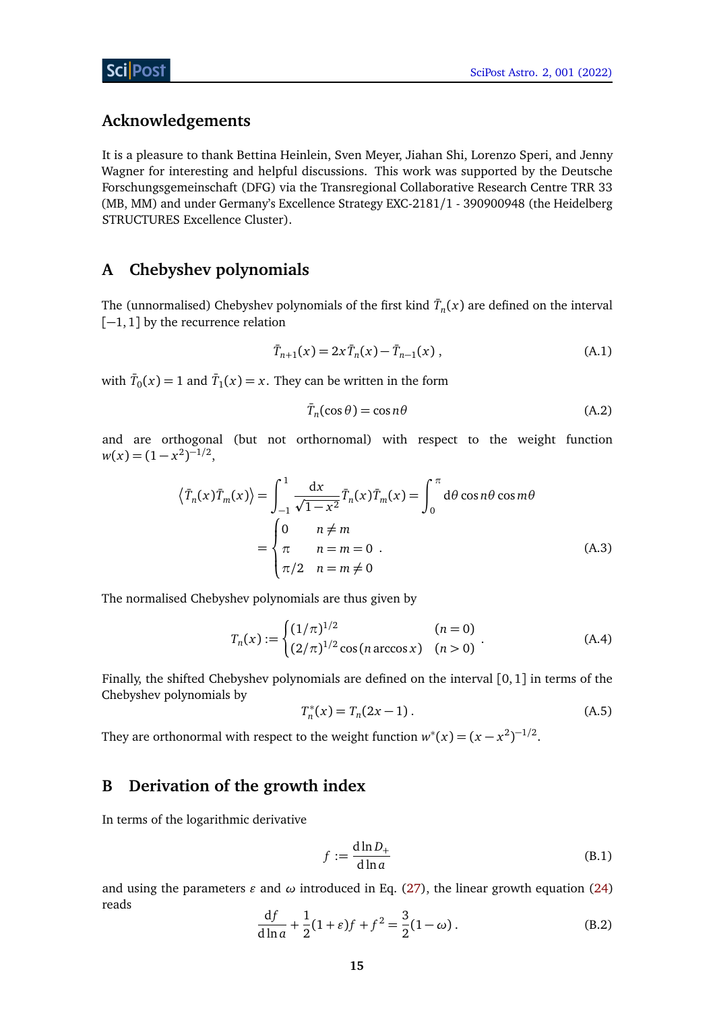# **Acknowledgements**

It is a pleasure to thank Bettina Heinlein, Sven Meyer, Jiahan Shi, Lorenzo Speri, and Jenny Wagner for interesting and helpful discussions. This work was supported by the Deutsche Forschungsgemeinschaft (DFG) via the Transregional Collaborative Research Centre TRR 33 (MB, MM) and under Germany's Excellence Strategy EXC-2181/1 - 390900948 (the Heidelberg STRUCTURES Excellence Cluster).

# <span id="page-14-0"></span>**A Chebyshev polynomials**

The (unnormalised) Chebyshev polynomials of the first kind  $\bar{T}_n(x)$  are defined on the interval [−1, 1] by the recurrence relation

$$
\bar{T}_{n+1}(x) = 2x \bar{T}_n(x) - \bar{T}_{n-1}(x) , \qquad (A.1)
$$

with  $\bar{T}_0(x) = 1$  and  $\bar{T}_1(x) = x$ . They can be written in the form

$$
\bar{T}_n(\cos \theta) = \cos n\theta \tag{A.2}
$$

and are orthogonal (but not orthornomal) with respect to the weight function  $w(x) = (1 - x^2)^{-1/2}$ ,

$$
\langle \bar{T}_n(x)\bar{T}_m(x)\rangle = \int_{-1}^1 \frac{dx}{\sqrt{1-x^2}} \bar{T}_n(x)\bar{T}_m(x) = \int_0^\pi d\theta \cos n\theta \cos m\theta
$$

$$
= \begin{cases} 0 & n \neq m \\ \pi & n = m = 0 \\ \pi/2 & n = m \neq 0 \end{cases}
$$
(A.3)

The normalised Chebyshev polynomials are thus given by

$$
T_n(x) := \begin{cases} (1/\pi)^{1/2} & (n = 0) \\ (2/\pi)^{1/2} \cos(n \arccos x) & (n > 0) \end{cases}
$$
 (A.4)

Finally, the shifted Chebyshev polynomials are defined on the interval [0,1] in terms of the Chebyshev polynomials by

$$
T_n^*(x) = T_n(2x - 1).
$$
 (A.5)

They are orthonormal with respect to the weight function  $w^*(x) = (x - x^2)^{-1/2}$ .

# <span id="page-14-1"></span>**B Derivation of the growth index**

In terms of the logarithmic derivative

$$
f := \frac{\mathrm{d} \ln D_+}{\mathrm{d} \ln a} \tag{B.1}
$$

<span id="page-14-2"></span>and using the parameters  $\varepsilon$  and  $\omega$  introduced in Eq. [\(27\)](#page-8-6), the linear growth equation [\(24\)](#page-8-4) reads

$$
\frac{df}{d\ln a} + \frac{1}{2}(1+\varepsilon)f + f^2 = \frac{3}{2}(1-\omega).
$$
 (B.2)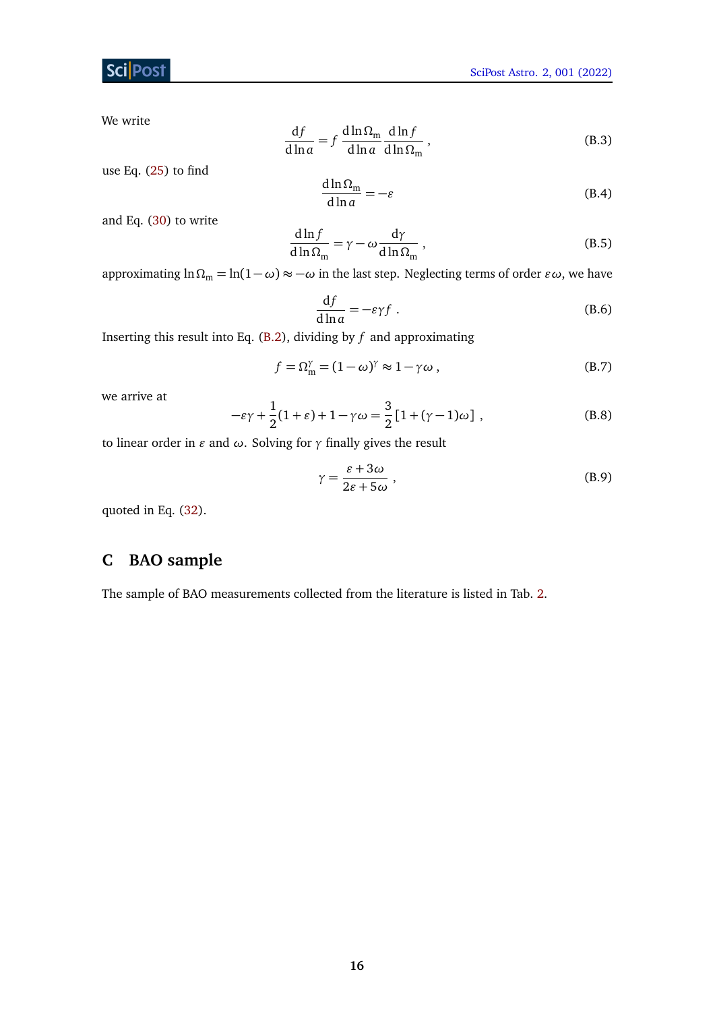# **ScilPost**

We write

$$
\frac{\mathrm{d}f}{\mathrm{d}\ln a} = f \frac{\mathrm{d}\ln \Omega_{\mathrm{m}}}{\mathrm{d}\ln a} \frac{\mathrm{d}\ln f}{\mathrm{d}\ln \Omega_{\mathrm{m}}},\tag{B.3}
$$

use Eq. [\(25\)](#page-8-5) to find

$$
\frac{d\ln\Omega_{\rm m}}{d\ln a} = -\varepsilon\tag{B.4}
$$

and Eq. [\(30\)](#page-9-3) to write

$$
\frac{d\ln f}{d\ln \Omega_{\rm m}} = \gamma - \omega \frac{d\gamma}{d\ln \Omega_{\rm m}},
$$
\n(B.5)

approximating  $\ln \Omega_m = \ln(1 - \omega) \approx -\omega$  in the last step. Neglecting terms of order  $\varepsilon \omega$ , we have

$$
\frac{\mathrm{d}f}{\mathrm{d}\ln a} = -\varepsilon \gamma f \tag{B.6}
$$

Inserting this result into Eq. [\(B.2\)](#page-14-2), dividing by *f* and approximating

$$
f = \Omega_{\rm m}^{\gamma} = (1 - \omega)^{\gamma} \approx 1 - \gamma \omega , \qquad (B.7)
$$

we arrive at

$$
-\varepsilon\gamma + \frac{1}{2}(1+\varepsilon) + 1 - \gamma\omega = \frac{3}{2}[1+(\gamma-1)\omega],
$$
 (B.8)

to linear order in  $\varepsilon$  and  $\omega$ . Solving for  $\gamma$  finally gives the result

$$
\gamma = \frac{\varepsilon + 3\omega}{2\varepsilon + 5\omega},\tag{B.9}
$$

quoted in Eq. [\(32\)](#page-10-1).

# <span id="page-15-0"></span>**C BAO sample**

The sample of BAO measurements collected from the literature is listed in Tab. [2.](#page-16-0)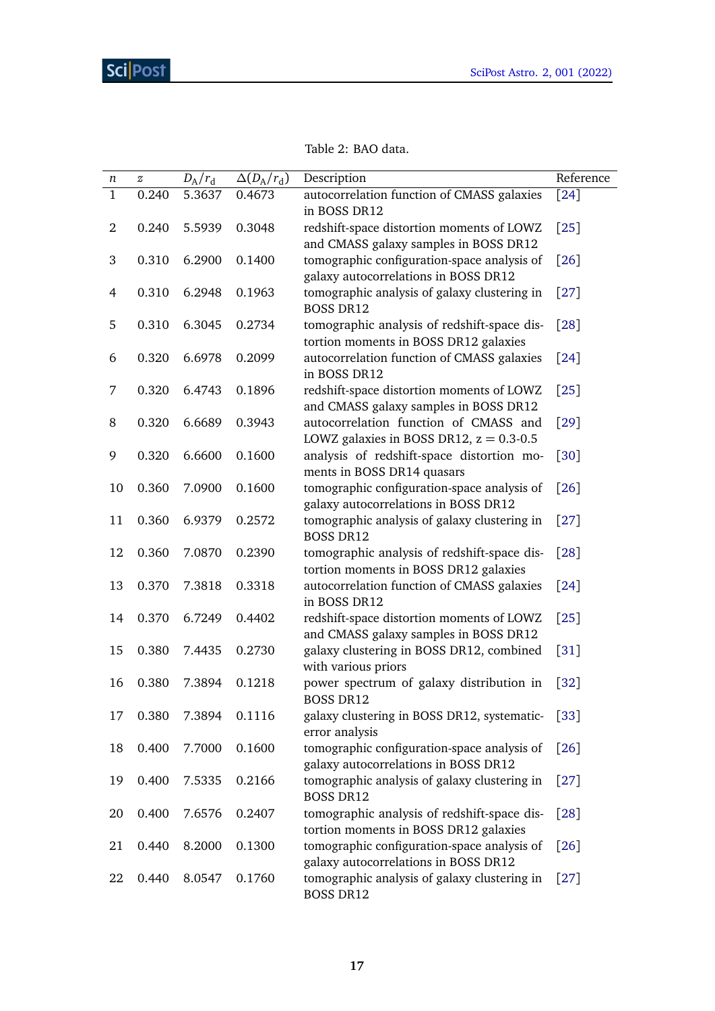<span id="page-16-0"></span>

| п              | $\boldsymbol{z}$ | $D_{\rm A}/r_{\rm d}$ | $\Delta(D_A/r_d)$ | Description                                                                          | Reference          |
|----------------|------------------|-----------------------|-------------------|--------------------------------------------------------------------------------------|--------------------|
| $\mathbf{1}$   | 0.240            | 5.3637                | 0.4673            | autocorrelation function of CMASS galaxies<br>in BOSS DR12                           | $\lceil 24 \rceil$ |
| $\overline{2}$ | 0.240            | 5.5939                | 0.3048            | redshift-space distortion moments of LOWZ<br>and CMASS galaxy samples in BOSS DR12   | $[25]$             |
| 3              | 0.310            | 6.2900                | 0.1400            | tomographic configuration-space analysis of<br>galaxy autocorrelations in BOSS DR12  | $[26]$             |
| $\overline{4}$ | 0.310            | 6.2948                | 0.1963            | tomographic analysis of galaxy clustering in<br><b>BOSS DR12</b>                     | [27]               |
| 5              | 0.310            | 6.3045                | 0.2734            | tomographic analysis of redshift-space dis-<br>tortion moments in BOSS DR12 galaxies | [28]               |
| 6              | 0.320            | 6.6978                | 0.2099            | autocorrelation function of CMASS galaxies<br>in BOSS DR12                           | $[24]$             |
| 7              | 0.320            | 6.4743                | 0.1896            | redshift-space distortion moments of LOWZ<br>and CMASS galaxy samples in BOSS DR12   | $[25]$             |
| 8              | 0.320            | 6.6689                | 0.3943            | autocorrelation function of CMASS and<br>LOWZ galaxies in BOSS DR12, $z = 0.3 - 0.5$ | $[29]$             |
| 9              | 0.320            | 6.6600                | 0.1600            | analysis of redshift-space distortion mo-<br>ments in BOSS DR14 quasars              | $[30]$             |
| 10             | 0.360            | 7.0900                | 0.1600            | tomographic configuration-space analysis of<br>galaxy autocorrelations in BOSS DR12  | $[26]$             |
| 11             | 0.360            | 6.9379                | 0.2572            | tomographic analysis of galaxy clustering in<br><b>BOSS DR12</b>                     | $[27]$             |
| 12             | 0.360            | 7.0870                | 0.2390            | tomographic analysis of redshift-space dis-<br>tortion moments in BOSS DR12 galaxies | [28]               |
| 13             | 0.370            | 7.3818                | 0.3318            | autocorrelation function of CMASS galaxies<br>in BOSS DR12                           | $[24]$             |
| 14             | 0.370            | 6.7249                | 0.4402            | redshift-space distortion moments of LOWZ<br>and CMASS galaxy samples in BOSS DR12   | $[25]$             |
| 15             | 0.380            | 7.4435                | 0.2730            | galaxy clustering in BOSS DR12, combined<br>with various priors                      | $[31]$             |
| 16             | 0.380            | 7.3894                | 0.1218            | power spectrum of galaxy distribution in<br><b>BOSS DR12</b>                         | $[32]$             |
| 17             | 0.380            | 7.3894                | 0.1116            | galaxy clustering in BOSS DR12, systematic-<br>error analysis                        | $[33]$             |
| 18             | 0.400            | 7.7000                | 0.1600            | tomographic configuration-space analysis of<br>galaxy autocorrelations in BOSS DR12  | $[26]$             |
| 19             | 0.400            | 7.5335                | 0.2166            | tomographic analysis of galaxy clustering in<br><b>BOSS DR12</b>                     | $[27]$             |
| 20             | 0.400            | 7.6576                | 0.2407            | tomographic analysis of redshift-space dis-<br>tortion moments in BOSS DR12 galaxies | [28]               |
| 21             | 0.440            | 8.2000                | 0.1300            | tomographic configuration-space analysis of<br>galaxy autocorrelations in BOSS DR12  | $[26]$             |
| 22             | 0.440            | 8.0547                | 0.1760            | tomographic analysis of galaxy clustering in<br><b>BOSS DR12</b>                     | $[27]$             |

| Table 2: BAO data. |  |  |
|--------------------|--|--|
|--------------------|--|--|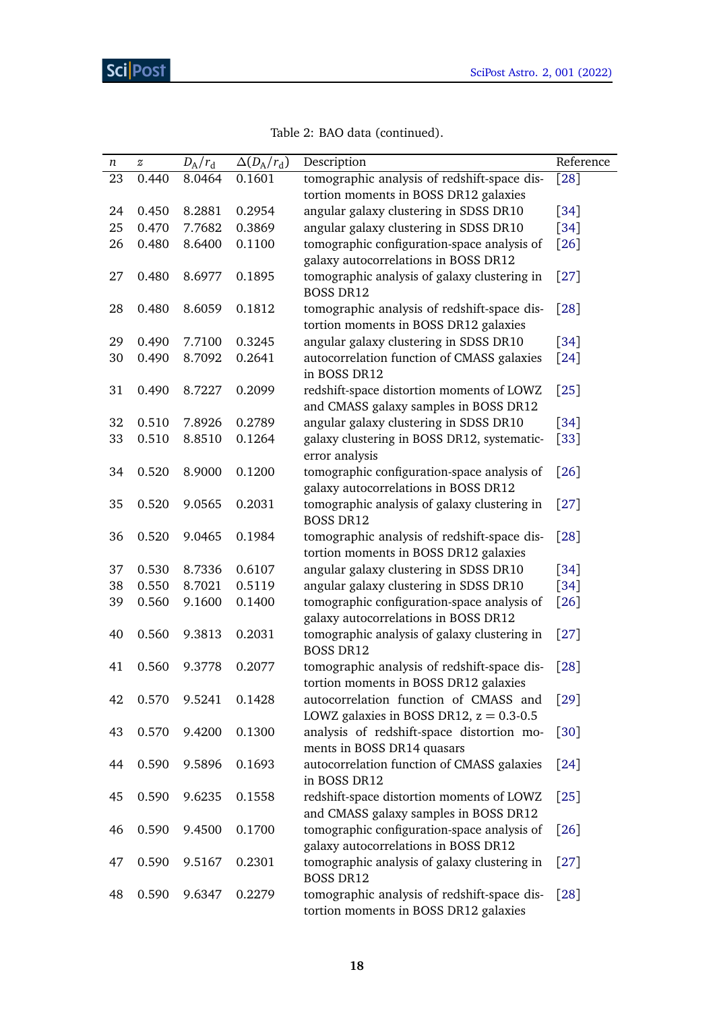| п  | $\boldsymbol{z}$ | $D_{\rm A}/r_{\rm d}$ | $\Delta(D_A/r_d)$ | Description                                                                          | Reference          |
|----|------------------|-----------------------|-------------------|--------------------------------------------------------------------------------------|--------------------|
| 23 | 0.440            | 8.0464                | 0.1601            | tomographic analysis of redshift-space dis-                                          | $[28]$             |
|    |                  |                       |                   | tortion moments in BOSS DR12 galaxies                                                |                    |
| 24 | 0.450            | 8.2881                | 0.2954            | angular galaxy clustering in SDSS DR10                                               | $[34]$             |
| 25 | 0.470            | 7.7682                | 0.3869            | angular galaxy clustering in SDSS DR10                                               | $[34]$             |
| 26 | 0.480            | 8.6400                | 0.1100            | tomographic configuration-space analysis of                                          | $[26]$             |
|    |                  |                       |                   | galaxy autocorrelations in BOSS DR12                                                 |                    |
| 27 | 0.480            | 8.6977                | 0.1895            | tomographic analysis of galaxy clustering in<br><b>BOSS DR12</b>                     | $[27]$             |
| 28 | 0.480            | 8.6059                | 0.1812            | tomographic analysis of redshift-space dis-<br>tortion moments in BOSS DR12 galaxies | [28]               |
| 29 | 0.490            | 7.7100                | 0.3245            | angular galaxy clustering in SDSS DR10                                               | $[34]$             |
| 30 | 0.490            | 8.7092                | 0.2641            | autocorrelation function of CMASS galaxies<br>in BOSS DR12                           | $[24]$             |
| 31 | 0.490            | 8.7227                | 0.2099            | redshift-space distortion moments of LOWZ<br>and CMASS galaxy samples in BOSS DR12   | $[25]$             |
| 32 | 0.510            | 7.8926                | 0.2789            | angular galaxy clustering in SDSS DR10                                               | $[34]$             |
| 33 | 0.510            | 8.8510                | 0.1264            | galaxy clustering in BOSS DR12, systematic-                                          | $[33]$             |
|    |                  |                       |                   | error analysis                                                                       |                    |
| 34 | 0.520            | 8.9000                | 0.1200            | tomographic configuration-space analysis of<br>galaxy autocorrelations in BOSS DR12  | $[26]$             |
| 35 | 0.520            | 9.0565                | 0.2031            | tomographic analysis of galaxy clustering in<br><b>BOSS DR12</b>                     | $[27]$             |
| 36 | 0.520            | 9.0465                | 0.1984            | tomographic analysis of redshift-space dis-<br>tortion moments in BOSS DR12 galaxies | $[28]$             |
| 37 | 0.530            | 8.7336                | 0.6107            | angular galaxy clustering in SDSS DR10                                               | $[34]$             |
| 38 | 0.550            | 8.7021                | 0.5119            | angular galaxy clustering in SDSS DR10                                               | $[34]$             |
| 39 | 0.560            | 9.1600                | 0.1400            | tomographic configuration-space analysis of<br>galaxy autocorrelations in BOSS DR12  | $[26]$             |
| 40 | 0.560            | 9.3813                | 0.2031            | tomographic analysis of galaxy clustering in<br><b>BOSS DR12</b>                     | $[27]$             |
| 41 | 0.560            | 9.3778                | 0.2077            | tomographic analysis of redshift-space dis-<br>tortion moments in BOSS DR12 galaxies | [28]               |
| 42 | 0.570            | 9.5241                | 0.1428            | autocorrelation function of CMASS and                                                | [29]               |
|    |                  |                       |                   | LOWZ galaxies in BOSS DR12, $z = 0.3 - 0.5$                                          |                    |
| 43 | 0.570            | 9.4200                | 0.1300            | analysis of redshift-space distortion mo-                                            | [30]               |
|    |                  |                       |                   | ments in BOSS DR14 quasars                                                           |                    |
| 44 | 0.590            | 9.5896                | 0.1693            | autocorrelation function of CMASS galaxies<br>in BOSS DR12                           | $[24]$             |
| 45 | 0.590            | 9.6235                | 0.1558            | redshift-space distortion moments of LOWZ                                            | [25]               |
| 46 | 0.590            | 9.4500                | 0.1700            | and CMASS galaxy samples in BOSS DR12<br>tomographic configuration-space analysis of | $\lceil 26 \rceil$ |
|    |                  |                       |                   | galaxy autocorrelations in BOSS DR12                                                 |                    |
| 47 | 0.590            | 9.5167                | 0.2301            | tomographic analysis of galaxy clustering in<br><b>BOSS DR12</b>                     | $[27]$             |
| 48 | 0.590            | 9.6347                | 0.2279            | tomographic analysis of redshift-space dis-<br>tortion moments in BOSS DR12 galaxies | $[28]$             |

|  |  |  |  | Table 2: BAO data (continued). |
|--|--|--|--|--------------------------------|
|--|--|--|--|--------------------------------|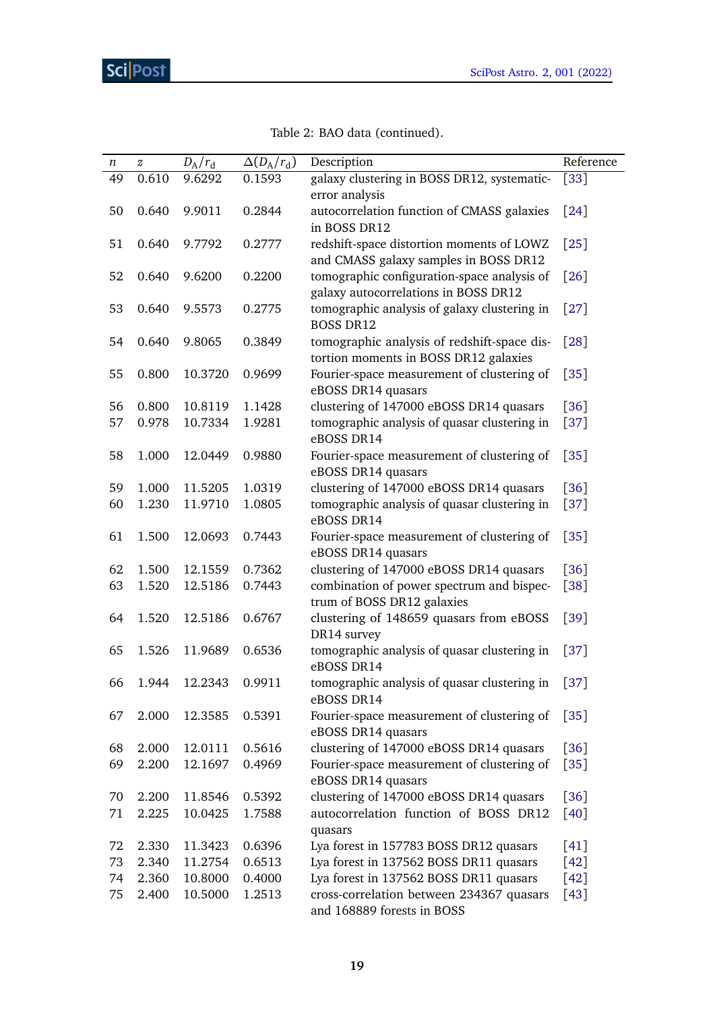<span id="page-18-0"></span>

| $\boldsymbol{n}$ | $\boldsymbol{z}$ | $D_{\rm A}/r_{\rm d}$ | $\Delta(D_A/r_d)$ | Description                                                                          | Reference         |
|------------------|------------------|-----------------------|-------------------|--------------------------------------------------------------------------------------|-------------------|
| 49               | 0.610            | 9.6292                | 0.1593            | galaxy clustering in BOSS DR12, systematic-<br>error analysis                        | $[33]$            |
| 50               | 0.640            | 9.9011                | 0.2844            | autocorrelation function of CMASS galaxies<br>in BOSS DR12                           | $[24]$            |
| 51               | 0.640            | 9.7792                | 0.2777            | redshift-space distortion moments of LOWZ<br>and CMASS galaxy samples in BOSS DR12   | $\left[25\right]$ |
| 52               | 0.640            | 9.6200                | 0.2200            | tomographic configuration-space analysis of<br>galaxy autocorrelations in BOSS DR12  | $[26]$            |
| 53               | 0.640            | 9.5573                | 0.2775            | tomographic analysis of galaxy clustering in<br><b>BOSS DR12</b>                     | $[27]$            |
| 54               | 0.640            | 9.8065                | 0.3849            | tomographic analysis of redshift-space dis-<br>tortion moments in BOSS DR12 galaxies | $[28]$            |
| 55               | 0.800            | 10.3720               | 0.9699            | Fourier-space measurement of clustering of<br>eBOSS DR14 quasars                     | $[35]$            |
| 56               | 0.800            | 10.8119               | 1.1428            | clustering of 147000 eBOSS DR14 quasars                                              | $[36]$            |
| 57               | 0.978            | 10.7334               | 1.9281            | tomographic analysis of quasar clustering in<br>eBOSS DR14                           | $[37]$            |
| 58               | 1.000            | 12.0449               | 0.9880            | Fourier-space measurement of clustering of<br>eBOSS DR14 quasars                     | $[35]$            |
| 59               | 1.000            | 11.5205               | 1.0319            | clustering of 147000 eBOSS DR14 quasars                                              | $[36]$            |
| 60               | 1.230            | 11.9710               | 1.0805            | tomographic analysis of quasar clustering in<br>eBOSS DR14                           | $[37]$            |
| 61               | 1.500            | 12.0693               | 0.7443            | Fourier-space measurement of clustering of<br>eBOSS DR14 quasars                     | $[35]$            |
| 62               | 1.500            | 12.1559               | 0.7362            | clustering of 147000 eBOSS DR14 quasars                                              | [36]              |
| 63               | 1.520            | 12.5186               | 0.7443            | combination of power spectrum and bispec-<br>trum of BOSS DR12 galaxies              | $[38]$            |
| 64               | 1.520            | 12.5186               | 0.6767            | clustering of 148659 quasars from eBOSS<br>DR14 survey                               | $[39]$            |
| 65               | 1.526            | 11.9689               | 0.6536            | tomographic analysis of quasar clustering in<br>eBOSS DR14                           | $[37]$            |
| 66               | 1.944            | 12.2343               | 0.9911            | tomographic analysis of quasar clustering in<br>eBOSS DR14                           | $[37]$            |
| 67               | 2.000            | 12.3585               | 0.5391            | Fourier-space measurement of clustering of<br>eBOSS DR14 quasars                     | [35]              |
| 68               | 2.000            | 12.0111               | 0.5616            | clustering of 147000 eBOSS DR14 quasars                                              | $[36]$            |
| 69               | 2.200            | 12.1697               | 0.4969            | Fourier-space measurement of clustering of<br>eBOSS DR14 quasars                     | $[35]$            |
| 70               | 2.200            | 11.8546               | 0.5392            | clustering of 147000 eBOSS DR14 quasars                                              | $[36]$            |
| 71               | 2.225            | 10.0425               | 1.7588            | autocorrelation function of BOSS DR12<br>quasars                                     | [40]              |
| 72               | 2.330            | 11.3423               | 0.6396            | Lya forest in 157783 BOSS DR12 quasars                                               | [41]              |
| 73               | 2.340            | 11.2754               | 0.6513            | Lya forest in 137562 BOSS DR11 quasars                                               | $[42]$            |
| 74               | 2.360            | 10.8000               | 0.4000            | Lya forest in 137562 BOSS DR11 quasars                                               | [42]              |
| 75               | 2.400            | 10.5000               | 1.2513            | cross-correlation between 234367 quasars<br>and 168889 forests in BOSS               | $[43]$            |

# Table 2: BAO data (continued).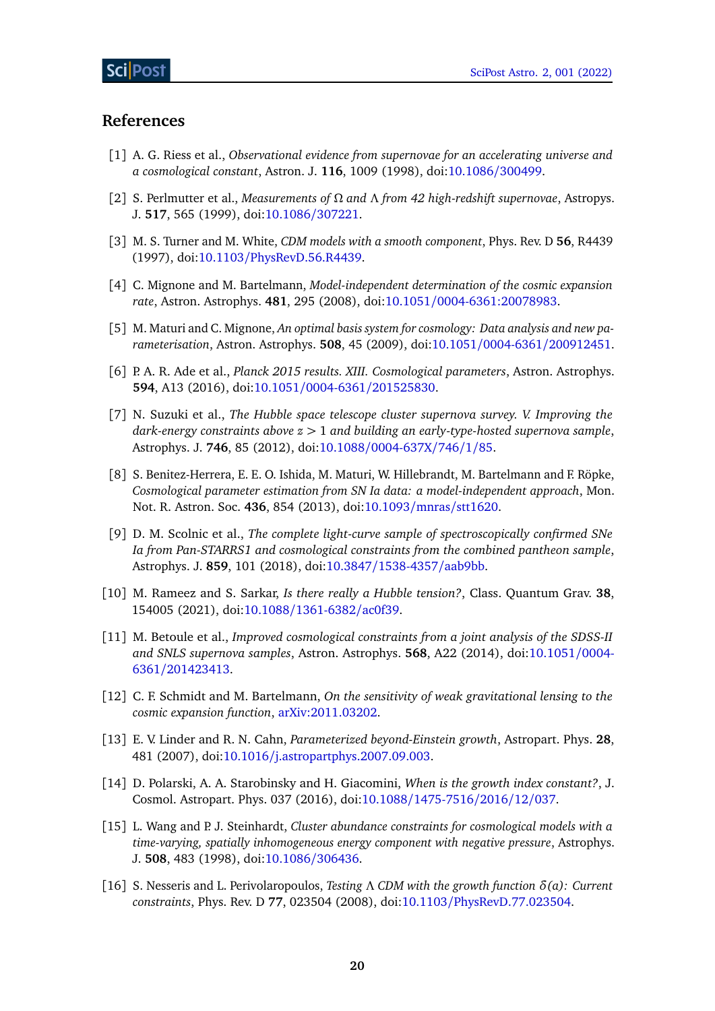### **References**

- <span id="page-19-0"></span>[1] A. G. Riess et al., *Observational evidence from supernovae for an accelerating universe and a cosmological constant*, Astron. J. **116**, 1009 (1998), doi[:10.1086](https://doi.org/10.1086/300499)/300499.
- <span id="page-19-1"></span>[2] S. Perlmutter et al., *Measurements of Ω and Λ from 42 high-redshift supernovae*, Astropys. J. **517**, 565 (1999), doi[:10.1086](https://doi.org/10.1086/307221)/307221.
- <span id="page-19-2"></span>[3] M. S. Turner and M. White, *CDM models with a smooth component*, Phys. Rev. D **56**, R4439 (1997), doi:10.1103/[PhysRevD.56.R4439.](https://doi.org/10.1103/PhysRevD.56.R4439)
- <span id="page-19-3"></span>[4] C. Mignone and M. Bartelmann, *Model-independent determination of the cosmic expansion rate*, Astron. Astrophys. **481**, 295 (2008), doi:10.1051/[0004-6361:20078983.](https://doi.org/10.1051/0004-6361:20078983)
- <span id="page-19-4"></span>[5] M. Maturi and C. Mignone, *An optimal basis system for cosmology: Data analysis and new parameterisation*, Astron. Astrophys. **508**, 45 (2009), doi:10.1051/0004-6361/[200912451.](https://doi.org/10.1051/0004-6361/200912451)
- <span id="page-19-5"></span>[6] P. A. R. Ade et al., *Planck 2015 results. XIII. Cosmological parameters*, Astron. Astrophys. **594**, A13 (2016), doi:10.1051/0004-6361/[201525830.](https://doi.org/10.1051/0004-6361/201525830)
- <span id="page-19-6"></span>[7] N. Suzuki et al., *The Hubble space telescope cluster supernova survey. V. Improving the dark-energy constraints above z >* 1 *and building an early-type-hosted supernova sample*, Astrophys. J. **746**, 85 (2012), doi:10.1088/[0004-637X](https://doi.org/10.1088/0004-637X/746/1/85)/746/1/85.
- <span id="page-19-7"></span>[8] S. Benitez-Herrera, E. E. O. Ishida, M. Maturi, W. Hillebrandt, M. Bartelmann and F. Röpke, *Cosmological parameter estimation from SN Ia data: a model-independent approach*, Mon. Not. R. Astron. Soc. **436**, 854 (2013), doi[:10.1093](https://doi.org/10.1093/mnras/stt1620)/mnras/stt1620.
- <span id="page-19-8"></span>[9] D. M. Scolnic et al., *The complete light-curve sample of spectroscopically confirmed SNe Ia from Pan-STARRS1 and cosmological constraints from the combined pantheon sample*, Astrophys. J. **859**, 101 (2018), doi:10.3847/[1538-4357](https://doi.org/10.3847/1538-4357/aab9bb)/aab9bb.
- <span id="page-19-9"></span>[10] M. Rameez and S. Sarkar, *Is there really a Hubble tension?*, Class. Quantum Grav. **38**, 154005 (2021), doi:10.1088/[1361-6382](https://doi.org/10.1088/1361-6382/ac0f39)/ac0f39.
- <span id="page-19-10"></span>[11] M. Betoule et al., *Improved cosmological constraints from a joint analysis of the SDSS-II and SNLS supernova samples*, Astron. Astrophys. **568**, A22 (2014), doi[:10.1051](https://doi.org/10.1051/0004-6361/201423413)/0004- 6361/[201423413.](https://doi.org/10.1051/0004-6361/201423413)
- <span id="page-19-11"></span>[12] C. F. Schmidt and M. Bartelmann, *On the sensitivity of weak gravitational lensing to the cosmic expansion function*, [arXiv:2011.03202.](https://arxiv.org/abs/2011.03202)
- <span id="page-19-12"></span>[13] E. V. Linder and R. N. Cahn, *Parameterized beyond-Einstein growth*, Astropart. Phys. **28**, 481 (2007), doi:10.1016/[j.astropartphys.2007.09.003.](https://doi.org/10.1016/j.astropartphys.2007.09.003)
- <span id="page-19-13"></span>[14] D. Polarski, A. A. Starobinsky and H. Giacomini, *When is the growth index constant?*, J. Cosmol. Astropart. Phys. 037 (2016), doi:10.1088/[1475-7516](https://doi.org/10.1088/1475-7516/2016/12/037)/2016/12/037.
- <span id="page-19-14"></span>[15] L. Wang and P. J. Steinhardt, *Cluster abundance constraints for cosmological models with a time-varying, spatially inhomogeneous energy component with negative pressure*, Astrophys. J. **508**, 483 (1998), doi[:10.1086](https://doi.org/10.1086/306436)/306436.
- <span id="page-19-15"></span>[16] S. Nesseris and L. Perivolaropoulos, *Testing Λ CDM with the growth function δ(a): Current constraints*, Phys. Rev. D **77**, 023504 (2008), doi:10.1103/[PhysRevD.77.023504.](https://doi.org/10.1103/PhysRevD.77.023504)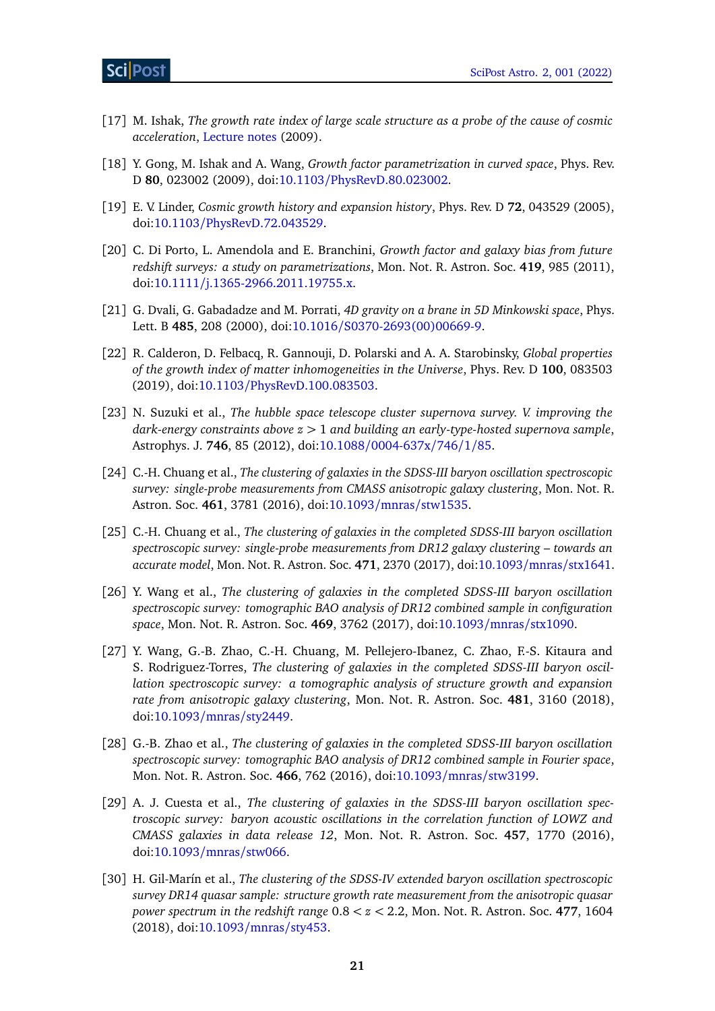- [17] M. Ishak, *The growth rate index of large scale structure as a probe of the cause of cosmic acceleration*, [Lecture notes](http://www.as.utexas.edu/texascosmo09/talks/tcn09_ishak.pdf) (2009).
- <span id="page-20-3"></span>[18] Y. Gong, M. Ishak and A. Wang, *Growth factor parametrization in curved space*, Phys. Rev. D **80**, 023002 (2009), doi:10.1103/[PhysRevD.80.023002.](https://doi.org/10.1103/PhysRevD.80.023002)
- <span id="page-20-2"></span>[19] E. V. Linder, *Cosmic growth history and expansion history*, Phys. Rev. D **72**, 043529 (2005), doi:10.1103/[PhysRevD.72.043529.](https://doi.org/10.1103/PhysRevD.72.043529)
- <span id="page-20-0"></span>[20] C. Di Porto, L. Amendola and E. Branchini, *Growth factor and galaxy bias from future redshift surveys: a study on parametrizations*, Mon. Not. R. Astron. Soc. **419**, 985 (2011), doi:10.1111/[j.1365-2966.2011.19755.x.](https://doi.org/10.1111/j.1365-2966.2011.19755.x)
- <span id="page-20-1"></span>[21] G. Dvali, G. Gabadadze and M. Porrati, *4D gravity on a brane in 5D Minkowski space*, Phys. Lett. B **485**, 208 (2000), doi:10.1016/[S0370-2693\(00\)00669-9.](https://doi.org/10.1016/S0370-2693(00)00669-9)
- <span id="page-20-4"></span>[22] R. Calderon, D. Felbacq, R. Gannouji, D. Polarski and A. A. Starobinsky, *Global properties of the growth index of matter inhomogeneities in the Universe*, Phys. Rev. D **100**, 083503 (2019), doi:10.1103/[PhysRevD.100.083503.](https://doi.org/10.1103/PhysRevD.100.083503)
- <span id="page-20-5"></span>[23] N. Suzuki et al., *The hubble space telescope cluster supernova survey. V. improving the dark-energy constraints above z >* 1 *and building an early-type-hosted supernova sample*, Astrophys. J. **746**, 85 (2012), doi:10.1088/[0004-637x](https://doi.org/10.1088/0004-637x/746/1/85)/746/1/85.
- <span id="page-20-6"></span>[24] C.-H. Chuang et al., *The clustering of galaxies in the SDSS-III baryon oscillation spectroscopic survey: single-probe measurements from CMASS anisotropic galaxy clustering*, Mon. Not. R. Astron. Soc. **461**, 3781 (2016), doi:10.1093/mnras/[stw1535.](https://doi.org/10.1093/mnras/stw1535)
- <span id="page-20-7"></span>[25] C.-H. Chuang et al., *The clustering of galaxies in the completed SDSS-III baryon oscillation spectroscopic survey: single-probe measurements from DR12 galaxy clustering – towards an accurate model*, Mon. Not. R. Astron. Soc. **471**, 2370 (2017), doi[:10.1093](https://doi.org/10.1093/mnras/stx1641)/mnras/stx1641.
- <span id="page-20-8"></span>[26] Y. Wang et al., *The clustering of galaxies in the completed SDSS-III baryon oscillation spectroscopic survey: tomographic BAO analysis of DR12 combined sample in configuration space*, Mon. Not. R. Astron. Soc. **469**, 3762 (2017), doi[:10.1093](https://doi.org/10.1093/mnras/stx1090)/mnras/stx1090.
- <span id="page-20-9"></span>[27] Y. Wang, G.-B. Zhao, C.-H. Chuang, M. Pellejero-Ibanez, C. Zhao, F.-S. Kitaura and S. Rodriguez-Torres, *The clustering of galaxies in the completed SDSS-III baryon oscillation spectroscopic survey: a tomographic analysis of structure growth and expansion rate from anisotropic galaxy clustering*, Mon. Not. R. Astron. Soc. **481**, 3160 (2018), doi[:10.1093](https://doi.org/10.1093/mnras/sty2449)/mnras/sty2449.
- <span id="page-20-10"></span>[28] G.-B. Zhao et al., *The clustering of galaxies in the completed SDSS-III baryon oscillation spectroscopic survey: tomographic BAO analysis of DR12 combined sample in Fourier space*, Mon. Not. R. Astron. Soc. **466**, 762 (2016), doi:10.1093/mnras/[stw3199.](https://doi.org/10.1093/mnras/stw3199)
- <span id="page-20-11"></span>[29] A. J. Cuesta et al., *The clustering of galaxies in the SDSS-III baryon oscillation spectroscopic survey: baryon acoustic oscillations in the correlation function of LOWZ and CMASS galaxies in data release 12*, Mon. Not. R. Astron. Soc. **457**, 1770 (2016), doi[:10.1093](https://doi.org/10.1093/mnras/stw066)/mnras/stw066.
- <span id="page-20-12"></span>[30] H. Gil-Marín et al., *The clustering of the SDSS-IV extended baryon oscillation spectroscopic survey DR14 quasar sample: structure growth rate measurement from the anisotropic quasar power spectrum in the redshift range* 0.8 *< z <* 2.2, Mon. Not. R. Astron. Soc. **477**, 1604 (2018), doi[:10.1093](https://doi.org/10.1093/mnras/sty453)/mnras/sty453.